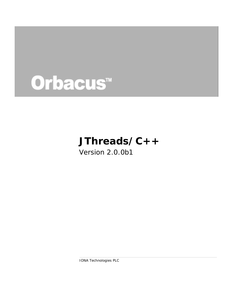

# **JThreads/C++**

### Version 2.0.0b1

IONA Technologies PLC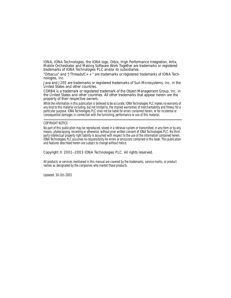IONA, IONA Technologies, the IONA logo, Orbix, High Performance Integration, Artix, Mobile Orchestrator and Making Software Work Together are trademarks or registered trademarks of IONA Technologies PLC and/or its subsidiaries.

"Orbacus" and "JThreads/C++" are trademarks or registered trademarks of IONA Technologies, Inc.

Java and J2EE are trademarks or registered trademarks of Sun Microsystems, Inc. in the United States and other countries.

CORBA is a trademark or registered trademark of the Object Management Group, Inc. in the United States and other countries. All other trademarks that appear herein are the property of their respective owners.

While the information in this publication is believed to be accurate, IONA Technologies PLC makes no warranty of any kind to this material including, but not limited to, the implied warranties of merchantability and fitness for a particular purpose. IONA Technologies PLC shall not be liable for errors contained herein, or for incidental or consequential damages in connection with the furnishing, performance or use of this material.

#### COPYRIGHT NOTICE

No part of this publication may be reproduced, stored in a retrieval system or transmitted, in any form or by any means, photocopying, recording or otherwise, without prior written consent of IONA Technologies PLC. No third party intellectual property right liability is assumed with respect to the use of the information contained herein. IONA Technologies PLC assumes no responsibility for errors or omissions contained in this book. This publication and features described herein are subject to change without notice.

Copyright © 2001–2003 IONA Technologies PLC. All rights reserved.

All products or services mentioned in this manual are covered by the trademarks, service marks, or product names as designated by the companies who market those products.

Updated: 30-Oct-2003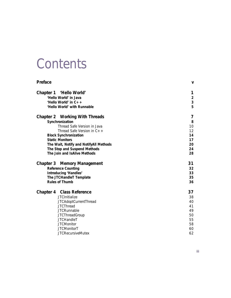# **Contents**

| Preface                                        | $\mathbf v$             |
|------------------------------------------------|-------------------------|
| Chapter 1 'Hello World'                        | 1                       |
| 'Hello World' in Java                          | $\overline{\mathbf{c}}$ |
| 'Hello World' in $C++$                         | 3                       |
| 'Hello World' with Runnable                    | 5                       |
| <b>Chapter 2 Working With Threads</b>          | 7                       |
| Synchronization                                | 8                       |
| Thread Safe Version in Java                    | 10                      |
| Thread Safe Version in $C_{+}$ +               | 12                      |
| <b>Block Synchronization</b>                   | 14                      |
| <b>Static Monitors</b>                         | 17                      |
| The Wait, Notify and NotifyAll Methods         | 20                      |
| The Stop and Suspend Methods                   | 24                      |
| The Join and IsAlive Methods                   | 28                      |
| <b>Chapter 3 Memory Management</b>             | 31                      |
| <b>Reference Counting</b>                      | 32                      |
| Introducing 'Handles'                          | 33                      |
| The JTCHandleT Template                        | 35                      |
| <b>Rules of Thumb</b>                          | 36                      |
| <b>Chapter 4 Class Reference</b>               | 37                      |
| <b>JTCInitialize</b>                           | 38                      |
| JTCAdoptCurrentThread                          | 40                      |
| <b>JTCThread</b>                               | 41                      |
| <b>JTCRunnable</b>                             | 49                      |
| <b>JTCThreadGroup</b>                          | 50                      |
| <b>JTCHandleT</b>                              | 55                      |
| <b>JTCMonitor</b>                              |                         |
|                                                | 58                      |
| <b>JTCMonitorT</b><br><b>JTCRecursiveMutex</b> | 60<br>62                |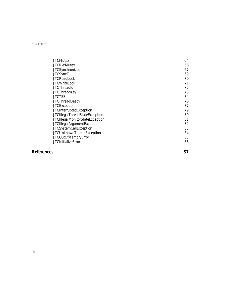CONTENTS

| <b>JTCMutex</b>                  | 64 |
|----------------------------------|----|
| <b>JTCRWMutex</b>                | 66 |
| <b>JTCSynchronized</b>           | 67 |
| <b>JTCSyncT</b>                  | 69 |
| <b>JTCReadLock</b>               | 70 |
| <b>JTCWriteLock</b>              | 71 |
| <b>JTCThreadId</b>               | 72 |
| <b>JTCThreadKey</b>              | 73 |
| <b>JTCTSS</b>                    | 74 |
| <b>JTCThreadDeath</b>            | 76 |
| <b>JTCE</b> xception             | 77 |
| <b>JTCInterruptedException</b>   | 79 |
| JTCIIlegalThreadStateException   | 80 |
| JTCIIlegalMonitorStateException  | 81 |
| JTCIIlegalArgumentException      | 82 |
| <b>JTCSystemCallException</b>    | 83 |
| <b>JTCUnknownThreadException</b> | 84 |
| JTCOutOfMemoryError              | 85 |
| <b>JTCInitializeError</b>        | 86 |
|                                  |    |

#### **[References 87](#page-94-0)**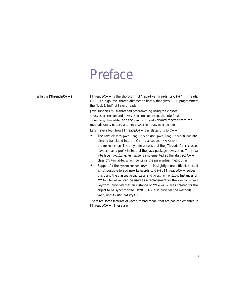# <span id="page-4-0"></span>Preface

**What is JThreads/C++?** JThreads/C++ is the short-form of "Java-like Threads for C++". JThreads/  $C++$  is a high-level thread abstraction library that gives  $C++$  programmers the "look & feel" of Java threads.

> Java supports multi-threaded programming using the classes java.lang.Thread and java.lang.ThreadGroup, the interface java.lang.Runnable, and the synchronized keyword together with the methods wait, notify and notifyAll in java.lang.Object.

Let's have a look how JThreads/ $C++$  translates this to  $C++$ :

- **•** The Java classes java.lang.Thread and java.lang.ThreadGroup are directly translated into the  $C++$  classes  $JTCThread$  and  $JTCThreadGroup.$  The only difference is that the JThreads/ $C++$  classes have JTC as a prefix instead of the Java package java.lang. The Java interface  $java.lang.Rumnable$  is implemented as the abstract  $C++$ class JTCRunnable, which contains the pure virtual method run.
- **•** Support for the synchronized keyword is slightly more difficult, since it is not possible to add new keywords to  $C++$ . JThreads/ $C++$  solves this using the classes JTCMonitor and JTCSynchronized. Instances of JTCSynchronized can be used as a replacement for the synchronized keyword, provided that an instance of JTCMonitor was created for the object to be synchronized. JTCMonitor also provides the methods wait, notify and notifyAll.

There are some features of Java's thread model that are not implemented in JThreads/ $C++$ . These are: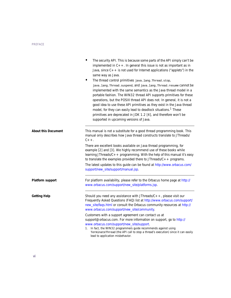|                            | $\bullet$<br>The security API. This is because some parts of the API simply can't be<br>implemented in $C_{++}$ . In general this issue is not as important as in<br>Java, since $C_{+}$ is not used for Internet applications ("applets") in the<br>same way as Java.<br>The thread control primitives java.lang. Thread.stop,<br>java.lang. Thread.suspend, and java.lang. Thread.resume Cannot be<br>implemented with the same semantics as the Java thread model in a<br>portable fashion. The WIN32 thread API supports primitives for these<br>operations, but the POSIX thread API does not. In general, it is not a<br>good idea to use these API primitives as they exist in the Java thread<br>model, for they can easily lead to deadlock situations. <sup>1</sup> These<br>primitives are deprecated in JDK 1.2 [4], and therefore won't be<br>supported in upcoming versions of Java. |
|----------------------------|----------------------------------------------------------------------------------------------------------------------------------------------------------------------------------------------------------------------------------------------------------------------------------------------------------------------------------------------------------------------------------------------------------------------------------------------------------------------------------------------------------------------------------------------------------------------------------------------------------------------------------------------------------------------------------------------------------------------------------------------------------------------------------------------------------------------------------------------------------------------------------------------------|
| <b>About this Document</b> | This manual is not a substitute for a good thread programming book. This<br>manual only describes how Java thread constructs translate to JThreads/<br>$C++$ .                                                                                                                                                                                                                                                                                                                                                                                                                                                                                                                                                                                                                                                                                                                                     |
|                            | There are excellent books available on Java thread programming, for<br>example [2] and [3]. We highly recommend use of these books while<br>learning JThreads/ $C_{+}$ programming. With the help of this manual it's easy<br>to translate the examples provided there to JThreads/ $C_{+}$ programs.                                                                                                                                                                                                                                                                                                                                                                                                                                                                                                                                                                                              |
|                            | The latest updates to this guide can be found at http://www.orbacus.com/<br>support/new_site/support/manual.jsp.                                                                                                                                                                                                                                                                                                                                                                                                                                                                                                                                                                                                                                                                                                                                                                                   |
| Platform support           | For platform availability, please refer to the Orbacus home page at http://<br>www.orbacus.com/support/new_site/platforms.jsp.                                                                                                                                                                                                                                                                                                                                                                                                                                                                                                                                                                                                                                                                                                                                                                     |
| <b>Getting Help</b>        | Should you need any assistance with JThreads/ $C_{++}$ , please visit our<br>Frequently Asked Questions (FAQ) list at http://www.orbacus.com/support/<br>new_site/faqs.html or consult the Orbacus community resources at http://<br>www.orbacus.com/support/new_site/community.                                                                                                                                                                                                                                                                                                                                                                                                                                                                                                                                                                                                                   |
|                            | Customers with a support agreement can contact us at<br>support@orbacus.com. For more information on support, go to http://<br>www.orbacus.com/support/new_site/support.<br>1. In fact, the WIN32 programmers guide recommends against using<br>TerminateThread (the API call to stop a thread's execution) since it can easily<br>lead to application misbehavior.                                                                                                                                                                                                                                                                                                                                                                                                                                                                                                                                |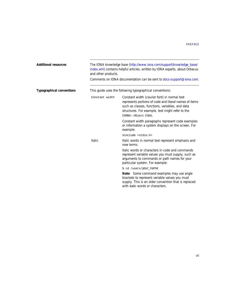| <b>Additional resources</b>      | The IONA knowledge base (http://www.iona.com/support/knowledge_base/<br>index.xml) contains helpful articles, written by IONA experts, about Orbacus<br>and other products.<br>Comments on IONA documentation can be sent to docs-support@iona.com. |                                                                                                                                                                                                                                        |  |  |  |
|----------------------------------|-----------------------------------------------------------------------------------------------------------------------------------------------------------------------------------------------------------------------------------------------------|----------------------------------------------------------------------------------------------------------------------------------------------------------------------------------------------------------------------------------------|--|--|--|
| <b>Typographical conventions</b> | This guide uses the following typographical conventions:                                                                                                                                                                                            |                                                                                                                                                                                                                                        |  |  |  |
|                                  | Constant width                                                                                                                                                                                                                                      | Constant width (courier font) in normal text<br>represents portions of code and literal names of items<br>such as classes, functions, variables, and data<br>structures. For example, text might refer to the<br>CORBA:: Object Class. |  |  |  |
|                                  |                                                                                                                                                                                                                                                     | Constant width paragraphs represent code examples<br>or information a system displays on the screen. For<br>example:                                                                                                                   |  |  |  |
|                                  |                                                                                                                                                                                                                                                     | #include <stdio.h></stdio.h>                                                                                                                                                                                                           |  |  |  |
|                                  | <b>Italic</b>                                                                                                                                                                                                                                       | Italic words in normal text represent emphasis and<br>new terms.                                                                                                                                                                       |  |  |  |
|                                  |                                                                                                                                                                                                                                                     | Italic words or characters in code and commands<br>represent variable values you must supply, such as<br>arguments to commands or path names for your<br>particular system. For example:                                               |  |  |  |
|                                  |                                                                                                                                                                                                                                                     | % cd /users/your_name                                                                                                                                                                                                                  |  |  |  |
|                                  |                                                                                                                                                                                                                                                     | Note: Some command examples may use angle<br>brackets to represent variable values you must<br>supply. This is an older convention that is replaced<br>with <i>italic</i> words or characters.                                         |  |  |  |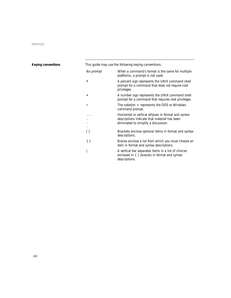**Keying conventions** This guide may use the following keying

... . . .

|  |  |  |  |  |  |  |  |  |  | his guide may use the following keying conventions: |  |  |
|--|--|--|--|--|--|--|--|--|--|-----------------------------------------------------|--|--|
|--|--|--|--|--|--|--|--|--|--|-----------------------------------------------------|--|--|

| No prompt | When a command's format is the same for multiple |
|-----------|--------------------------------------------------|
|           | platforms, a prompt is not used.                 |
| ⊱         | A percent sign represents the UNIX command shell |

- prompt for a command that does not require root privileges.
- # A number sign represents the UNIX command shell prompt for a command that requires root privileges.
- > The notation > represents the DOS or Windows command prompt.
	- Horizontal or vertical ellipses in format and syntax descriptions indicate that material has been eliminated to simplify a discussion.
- [ ] Brackets enclose optional items in format and syntax descriptions.
- { } Braces enclose a list from which you must choose an item in format and syntax descriptions.
	- A vertical bar separates items in a list of choices enclosed in { } (braces) in format and syntax descriptions.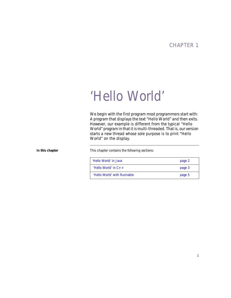### CHAPTER 1

# <span id="page-8-1"></span><span id="page-8-0"></span>'Hello World'

*We begin with the first program most programmers start with: A program that displays the text "Hello World" and then exits. However, our example is different from the typical "Hello World" program in that it is multi-threaded. That is, our version starts a new thread whose sole purpose is to print "Hello World" on the display.*

**In this chapter** This chapter contains the following sections:

| 'Hello World' in Java       | page 2 |
|-----------------------------|--------|
| 'Hello World' in $C_{+}$ +  | page 3 |
| 'Hello World' with Runnable | page 5 |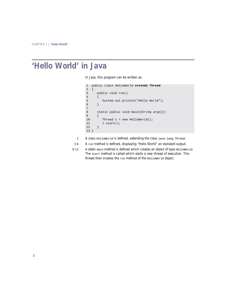### <span id="page-9-0"></span>**'Hello World' in Java**

In Java, this program can be written as:

```
1 public class HelloWorld extends Thread
2 {
3 public void run()
4 {
5 System.out.println("Hello World");
6 }
7
8 static public void main(String args[])
9 {
10 Thread t = new HelloWorld();
11 t.start();
1213 }
```
- 1 A class HelloWorld is defined, extending the class java.lang. Thread.
- 3-6 A run method is defined, displaying "Hello World" on standard output.
- 8-12 A static main method is defined which creates an object of type HelloWorld. The start method is called which starts a new thread of execution. This thread then invokes the run method of the HelloWorld Object.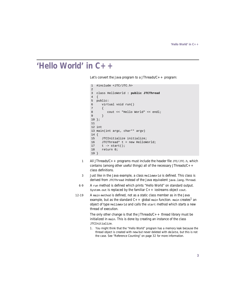# <span id="page-10-0"></span>**'Hello World' in C++**

Let's convert the Java program to a JThreads/ $C_{+}$  + program:

```
1 #include <JTC/JTC.h>
2
3 class HelloWorld : public JTCThread
4 {
5 public:
6 virtual void run()
7 {
8 cout << "Hello World" << endl;
\circ10 };
11
12 int
13 main(int argc, char** argv)
14 {
15 JTCInitialize initialize;
16 JTCThread* t = new HelloWorld;
17 t \rightarrow start();
18 return 0;
19 }
```
- 1 All JThreads/C + + programs must include the header file  $\text{JTC/JTC.h}$ , which contains (among other useful things) all of the necessary JThreads/ $C_{++}$ class definitions.
- 3 Just like in the Java example, a class HelloWorld is defined. This class is derived from JTCThread instead of the Java equivalent java.lang.Thread.
- 6-9 A run method is defined which prints "Hello World" on standard output. System.out is replaced by the familiar  $C++$  iostreams object cout.
- 12-19 A main method is defined, not as a static class member as in the Java example, but as the standard  $C++$  global main function. main creates<sup>1</sup> an object of type HelloWorld and calls the start method which starts a new thread of execution.

The only other change is that the JThreads/ $C++$  thread library must be initialized in main. This is done by creating an instance of the class JTCInitialize.

1. You might think that the "Hello World" program has a memory leak because the thread object is created with new but never deleted with delete, but this is not the case. See ["Reference Counting" on page 32](#page-39-1) for more information.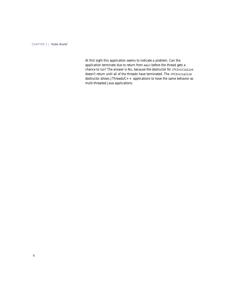At first sight this application seems to indicate a problem. Can the application terminate due to return from main before the thread gets a chance to run? The answer is No, because the destructor for arcinitialize doesn't return until all of the threads have terminated. The *JTCInitialize* destructor allows JThreads/ $C++$  applications to have the same behavior as multi-threaded Java applications.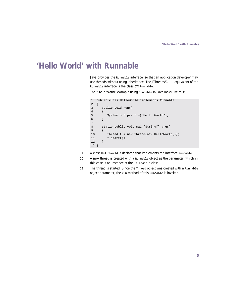# <span id="page-12-0"></span>**'Hello World' with Runnable**

Java provides the Runnable interface, so that an application developer may use threads without using inheritance. The JThreads/ $C++$  equivalent of the Runnable interface is the class JTCRunnable.

The "Hello World" example using Runnable in Java looks like this:

```
1 public class HelloWorld implements Runnable
2 {
3 public void run()
4 \qquad \{5 System.out.println("Hello World");
6 }
7
8 static public void main(String[] args)
9 {
10 Thread t = new Thread(new HelloWorld());
11 t.start();
12 }
13 }
```
- 1 A class HelloWorld is declared that implements the interface Runnable.
- 10 A new thread is created with a Runnable object as the parameter, which in this case is an instance of the HelloWorld class.
- 11 The thread is started. Since the Thread object was created with a Runnable object parameter, the run method of this Runnable is invoked.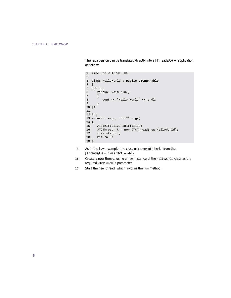The Java version can be translated directly into a JThreads/ $C_{+}$  + application as follows:

```
1 #include <JTC/JTC.h>
2
3 class HelloWorld : public JTCRunnable
4 {
5 public:
6 virtual void run()
7 {
8 cout << "Hello World" << endl;
9 }
10 };
11
12 int
13 main(int argc, char** argv)
14 {
15 JTCInitialize initialize;
16 JTCThread* t = new JTCThread(new HelloWorld);
17 t \rightarrow start();
18 return 0;
19 }
```
- 3 As in the Java example, the class HelloWorld inherits from the  $JThreads/C++ class JTCRunnele.$
- 16 Create a new thread, using a new instance of the HelloWorld class as the required JTCRunnable parameter.
- 17 Start the new thread, which invokes the run method.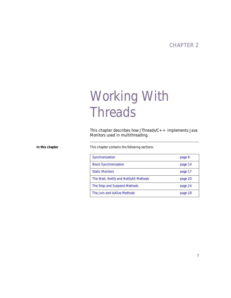### CHAPTER 2

# <span id="page-14-0"></span>Working With **Threads**

*This chapter describes how JThreads/C++ implements Java Monitors used in multithreading.*

**In this chapter** This chapter contains the following sections:

| Synchronization                        | page 8  |
|----------------------------------------|---------|
| <b>Block Synchronization</b>           | page 14 |
| <b>Static Monitors</b>                 | page 17 |
| The Wait, Notify and NotifyAll Methods | page 20 |
| The Stop and Suspend Methods           | page 24 |
| The Join and IsAlive Methods           | page 28 |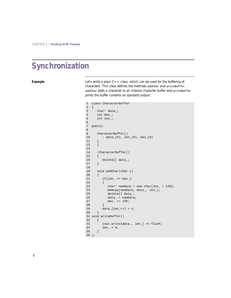# <span id="page-15-0"></span>**Synchronization**

**Example** Let's write a plain C++ class, which can be used for the buffering of characters. This class defines the methods addChar and writeBuffer. addChar adds a character to an internal character buffer and writeBuffer prints the buffer contents on standard output:

```
1 class CharacterBuffer
2 {
3 char* data_;
4 int max_;
5 int len i
6
7 public:
8
9 CharacterBuffer()
10 : data_(0), len_(0), max_(0)
11 {
12 }
13
14 ~CharacterBuffer()
15 {
16 delete[] data_;
17 }
18
19 void addChar(char c)
20 {
21 if(len_ == max_)
22 {
23 char* newData = new char[len_ + 128];
24 memcpy(newData, data_, len_);
25 delete[] data_;
26 data_ = newData;
27 max_ += 128;
28 }
29 data_{len_{+}} = c;30 }
31 void writeBuffer()
32 {
33 cout.write(data_, len_) << flush;
34 len_ = 0;35 }
36 };
```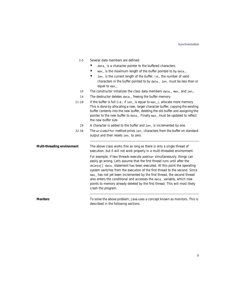| $3 - 5$                     | Several data members are defined:                                                                                                                                                                                                                                                                                                                                                                                                                                                                                                                                     |
|-----------------------------|-----------------------------------------------------------------------------------------------------------------------------------------------------------------------------------------------------------------------------------------------------------------------------------------------------------------------------------------------------------------------------------------------------------------------------------------------------------------------------------------------------------------------------------------------------------------------|
|                             | data_ is a character pointer to the buffered characters.                                                                                                                                                                                                                                                                                                                                                                                                                                                                                                              |
|                             | max_ is the maximum length of the buffer pointed to by data_.                                                                                                                                                                                                                                                                                                                                                                                                                                                                                                         |
|                             | len_ is the current length of the buffer, i.e., the number of valid                                                                                                                                                                                                                                                                                                                                                                                                                                                                                                   |
|                             | characters in the buffer pointed to by data_. len_must be less than or                                                                                                                                                                                                                                                                                                                                                                                                                                                                                                |
|                             | equal to max.                                                                                                                                                                                                                                                                                                                                                                                                                                                                                                                                                         |
| 10                          | The constructor initializes the class data members data_, max_ and len_.                                                                                                                                                                                                                                                                                                                                                                                                                                                                                              |
| 14                          | The destructor deletes data_, freeing the buffer memory.                                                                                                                                                                                                                                                                                                                                                                                                                                                                                                              |
| $21 - 28$                   | If the buffer is full (i.e., if $1en$ is equal to $max$ ), allocate more memory.<br>This is done by allocating a new, larger character buffer, copying the existing<br>buffer contents into the new buffer, deleting the old buffer and assigning the<br>pointer to the new buffer to data_. Finally max_ must be updated to reflect<br>the new buffer size.                                                                                                                                                                                                          |
| 29                          | A character is added to the buffer and len_ is incremented by one.                                                                                                                                                                                                                                                                                                                                                                                                                                                                                                    |
| 32-36                       | The writeBuffer method prints len_characters from the buffer on standard<br>output and then resets len_ to zero.                                                                                                                                                                                                                                                                                                                                                                                                                                                      |
| Mulit-threading environment | The above class works fine as long as there is only a single thread of<br>execution, but it will not work properly in a multi-threaded environment.                                                                                                                                                                                                                                                                                                                                                                                                                   |
|                             | For example, if two threads execute addChar simultaneously, things can<br>easily go wrong. Let's assume that the first thread runs until after the<br>delete[] data_statement has been executed. At this point the operating<br>system switches from the execution of the first thread to the second. Since<br>max_ has not yet been incremented by the first thread, the second thread<br>also enters the conditional and accesses the data_variable, which now<br>points to memory already deleted by the first thread. This will most likely<br>crash the program. |
| <b>Monitors</b>             | To solve the above problem, Java uses a concept known as <i>monitors</i> . This is<br>described in the following sections.                                                                                                                                                                                                                                                                                                                                                                                                                                            |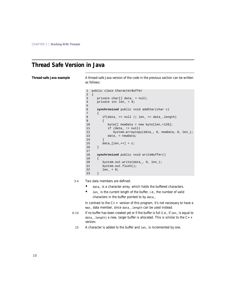#### <span id="page-17-0"></span>**Thread Safe Version in Java**

**Thread-safe Java example** A thread-safe Java version of the code in the previous section can be written as follows:

```
1 public class CharacterBuffer
2 {
3 private char[] data_ = null;
4 private int len_ = 0;
5
6 synchronized public void addChar(char c)
\overline{7}8 if(data_ == null || len_ == data_.length)
9 {
10 byte[] newData = new byte[len +128];
11 if (data_ != null)
12 System.arraycopy(data_, 0, newData, 0, len_);
13 data = newData;
14 }
15 data [len ++] = ci16 }
17
18 synchronized public void writeBuffer()
19 {
20 System.out.write(data_, 0, len_);
21 System.out.flush();
22 len_ = 0;23 }
```
- 3-4 Two data members are defined:
	- **•** data\_ is a character array, which holds the buffered characters.
	- **•** len\_ is the current length of the buffer, i.e., the number of valid characters in the buffer pointed to by data\_.

In contrast to the  $C++$  version of this program, it's not necessary to have a max data member, since data. length can be used instead.

- 6-14 If no buffer has been created yet or if the buffer is full (i.e., if len\_ is equal to data, length) a new, larger buffer is allocated. This is similar to the  $C++$ version.
	- 15 A character is added to the buffer and len\_ is incremented by one.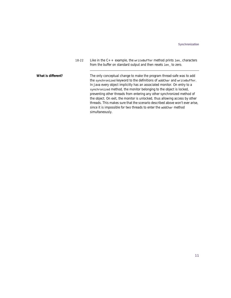18-22 Like in the  $C++$  example, the writeBuffer method prints len characters from the buffer on standard output and then resets  $1en_$  to zero.

What is different? The only conceptual change to make the program thread-safe was to add the synchronized keyword to the definitions of addChar and writeBuffer. In Java every object implicitly has an associated monitor. On entry to a synchronized method, the monitor belonging to the object is locked, preventing other threads from entering any other synchronized method of the object. On exit, the monitor is unlocked, thus allowing access by other threads. This makes sure that the scenario described above won't ever arise, since it is impossible for two threads to enter the addChar method simultaneously.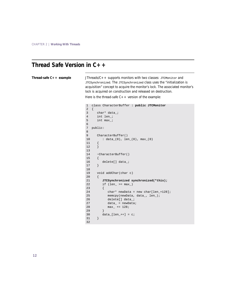### <span id="page-19-0"></span>**Thread Safe Version in C++**

**Thread-safe C++ example** JThreads/C++ supports monitors with two classes: JTCMonitor and JTCSynchronized. The JTCSynchronized class uses the "initialization is acquisition" concept to acquire the monitor's lock. The associated monitor's lock is acquired on construction and released on destruction.

Here is the thread-safe  $C++$  version of the example:

```
1 class CharacterBuffer : public JTCMonitor
2 {
3 char* data_;
4 int len_;
5 int max_;
6
7 public:
8
9 CharacterBuffer()
10 : data_(0), len_(0), max_(0)
11 {
12 }
13
14 ~CharacterBuffer()
15 {
16 delete[] data_;
17 }
18
19 void addChar(char c)
20 {
21 JTCSynchronized synchronized(*this);
22 if (len_ >= max_)
23 {
24 char* newData = new char[len_+128];
25 memcpy(newData, data_, len_);
26 delete[] data_;
27 data_ = newData;
28 max_ += 128;
29 }
30 data_{1} = - + 1 = c;31 }
32
```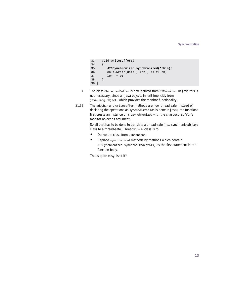```
33 void writeBuffer()
34 {
35 JTCSynchronized synchronized(*this);
36 cout.write(data_, len_) << flush;
37 len_ = 0;
38 }
39 };
```
- 1 The class characterBuffer is now derived from JTCMonitor. In Java this is not necessary, since all Java objects inherit implicitly from java.lang.Object, which provides the monitor functionality.
- 21.35 The addChar and writeBuffer methods are now thread safe. Instead of declaring the operations as synchronized (as is done in Java), the functions first create an instance of JTCSynchronized with the CharacterBuffer's monitor object as argument.

So all that has to be done to translate a thread-safe (i.e., synchronized) Java class to a thread-safe JThreads/ $C++$  class is to:

- Derive the class from JTCMonitor.
- **•** Replace synchronized methods by methods which contain JTCSynchronized synchronized(\*this) as the first statement in the function body.

That's quite easy, isn't it?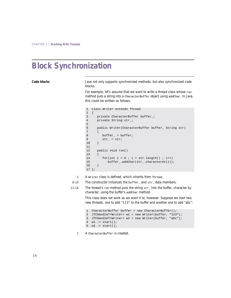### <span id="page-21-0"></span>**Block Synchronization**

**Code blocks** Java not only supports synchronized methods, but also synchronized code blocks.

> For example, let's assume that we want to write a thread class whose run method puts a string into a CharacterBuffer object using addChar. In Java, this could be written as follows.

```
1 class Writer extends Thread
2 {
3 private CharacterBuffer buffer;
4 private String str_;
5
6 public Writer(CharacterBuffer buffer, String str)
7 {
8 buffer = buffer;
9 str = str;
10 }
11
12 public void run()
13 {
14 for(int i = 0 ; i \lt s str.length(); i++)15 buffer_.addChar(str_.characterAt(i));
16 }
17 };
```
- 1 A Writer class is defined, which inherits from Thread.
- 6-10 The constructor initializes the buffer and  $str$  data members.
- 12-16 The thread's run method puts the string  $str$  into the buffer, character by character, using the buffer's addChar method.

This class does not work as we want it to, however. Suppose we start two new threads, one to add "123" to the buffer and another one to add "abc":

```
1 CharacterBuffer buffer = new CharacterBuffer();
2 JTCHandleT<Writer> w1 = new Writer(buffer, "123");
3 JTCHandleT<Writer> w2 = new Writer(buffer, "abc");
4 w1 \rightarrow start();
5 w2 \rightarrow start();
```
1 A CharacterBuffer is created.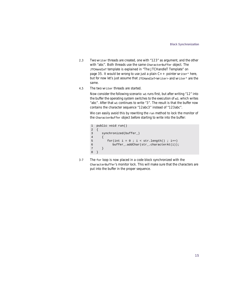- 2,3 Two Writer threads are created, one with "123" as argument, and the other with "abc". Both threads use the same CharacterBuffer object. The JTCHandleT template is explained in ["The JTCHandleT Template" on](#page-42-1)  [page 35](#page-42-1). It would be wrong to use just a plain  $C++$  pointer  $W$ riter\* here, but for now let's just assume that JTCHandleT<Writer> and Writer\* are the same.
- 4,5 The two Writer threads are started.

Now consider the following scenario: w1 runs first, but after writing "12" into the buffer the operating system switches to the execution of w2, which writes "abc". After that w1 continues to write "3". The result is that the buffer now contains the character sequence "12abc3" instead of "123abc".

We can easily avoid this by rewriting the run method to lock the monitor of the CharacterBuffer object before starting to write into the buffer:

```
1 public void run()
2 {
3 synchronized(buffer_)
4 {
5 for(int i=0; i < str.length(); i++)6 buffer_.addChar(str_.characterAt(i));
7 }
8 }
```
3-7 The for loop is now placed in a code block synchronized with the CharacterBuffer's monitor lock. This will make sure that the characters are put into the buffer in the proper sequence.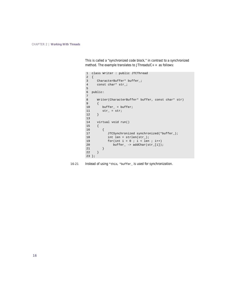This is called a "synchronized code block," in contrast to a synchronized method. The example translates to JThreads/ $C++$  as follows:

```
1 class Writer : public JTCThread
2 {
3 CharacterBuffer* buffer_;
4 const char* str_;
5
6 public:
7
8 Writer(CharacterBuffer* buffer, const char* str)
9 {
10 buffer_ = buffer;
11 str<sub>_</sub> = str;
12 }
13
14 virtual void run()
15 {
16 {
17 JTCSynchronized synchronized(*buffer_);
18 int len = strlen(str);
19 for(int i = 0 ; i < len ; i++)20 buffer_\rightarrow addChar(str_[i]);
21 }
22 }
23 };
```
16-21 Instead of using \*this, \*buffer\_ is used for synchronization.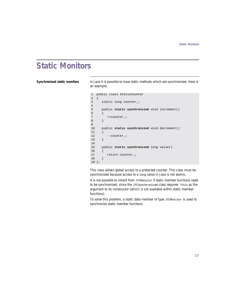# <span id="page-24-0"></span>**Static Monitors**

**Synchronized static monitors** In Java it is possible to have static methods which are synchronized. Here is an example:

```
1 public class StaticCounter
2 {
3 static long counter;
4
5 public static synchronized void increment()
6 {
7 ++counter_;
8 }
9
10 public static synchronized void decrement()
11 {
12 --counter_;
13 }
14
15 public static synchronized long value()
16 {
17 return counter_;
18 }
19 };
```
This class allows global access to a protected counter. This class must be synchronized because access to a long value in Java is not atomic.

It is not possible to inherit from JTCMonitor if static member functions need to be synchronized, since the *JTCSynchronized* class requires \*this as the argument to its constructor (which is not available within static member functions).

To solve this problem, a static data member of type JTCMonitor is used to synchronize static member functions.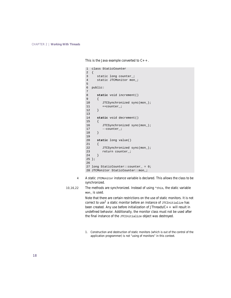This is the Java example converted to  $C_{++}$ .

```
1 class StaticCounter
2 {
3 static long counter;
4 static JTCMonitor mon_;
5
6 public:
7
8 static void increment()
9 {
10 JTCSynchronized sync(mon_);
11 ++counter_;
12 }
13
14 static void decrement()
15 {
16 JTCSynchronized sync(mon );
17 --counter;
18 }
19
20 static long value()
21 {
22 JTCSynchronized sync(mon_);
23 return counter_;
24 }
25 };
26
27 long StaticCounter:: counter = 0;28 JTCMonitor StaticCounter::mon_;
```
4 A static JTCMonitor instance variable is declared. This allows the class to be synchronized.

```
10,16,22 The methods are synchronized. Instead of using *this, the static variable 
            mon is used.
```
Note that there are certain restrictions on the use of static monitors. It is not correct to use<sup>1</sup> a static monitor before an instance of  $J$ TCInitialize has been created. Any use before initialization of JThreads/ $C++$  will result in undefined behavior. Additionally, the monitor class must not be used after the final instance of the JTCInitialize object was destroyed.

1. Construction and destruction of static monitors (which is out of the control of the application programmer) is not "using of monitors" in this context.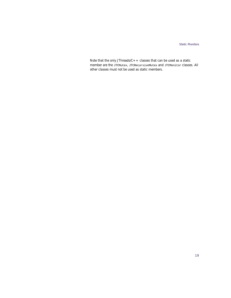Note that the only JThreads/ $C++$  classes that can be used as a static member are the JTCMutex, JTCRecursiveMutex and JTCMonitor classes. All other classes must not be used as static members.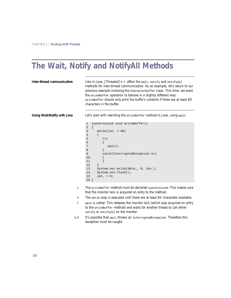# <span id="page-27-0"></span>**The Wait, Notify and NotifyAll Methods**

**Inter-thread communication** Like in Java, JThreads/C++ offers the wait, notify and notifyAll methods for inter-thread communication. As an example, let's return to our previous example involving the CharacterBuffer class. This time, we want the writeBuffer operation to behave in a slightly different way: writeBuffer should only print the buffer's contents if there are at least 80 characters in the buffer.

**Using Wait/Notify with Java** Let's start with rewriting the writeBuffer method in Java, using wait:

```
1 synchronized void writeBuffer()
2 {
3 while(len < 80)
4 {
5 try
6 {
7 wait()
8 }
9 catch(InterruptedException ex)
10 {
11 }
12 }
13 System.out.write(data_, 0, len_);
14 System.out.flush();
15 len_ = 0;
16 }
```
- 1 The writeBuffer method must be declared synchronized. This makes sure that the monitor lock is acquired on entry to the method.
- 3 The while loop is executed until there are at least 80 characters available.
- 7 wait is called. This releases the monitor lock (which was acquired on entry to the writeBuffer method) and waits for another thread to call either notify or notifyAll on the monitor.
- 5,9 It's possible that wait throws an InterruptedException. Therefore this exception must be caught.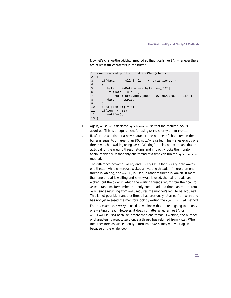Now let's change the addChar method so that it calls notify whenever there are at least 80 characters in the buffer:

```
1 synchronized public void addChar(char c)
2 {
3 if(data == null || len >= data.length)
\begin{matrix} 4 \\ 5 \end{matrix}byte[] newData = new byte[len_+128];
6 if (data != null)
7 System.arraycopy(data_, 0, newData, 0, len_);
8 data_ = newData;
9 }
10 data_{1} = - + 1 = c;
11 if(len > = 80)12 notify();
13 }
```
- 1 Again, addChar is declared synchronized so that the monitor lock is acquired. This is a requirement for using wait, notify or notifyAll.
- 11-12 If, after the addition of a new character, the number of characters in the buffer is equal to or larger than 80, notify is called. This wakes exactly one thread which is waiting using wait. "Waking" in this context means that the wait call of the waiting thread returns and implicitly locks the monitor again, making sure that only one thread at a time can run the synchronized method.

The difference between notify and notifyAll is that notify only wakes one thread, while notifyAll wakes all waiting threads. If more than one thread is waiting, and notify is used, a random thread is woken. If more than one thread is waiting and notifyAll is used, then all threads are woken, but the order in which the waiting threads return from their call to wait is random. Remember that only one thread at a time can return from wait, since returning from wait requires the monitor's lock to be acquired. This is not possible if another thread has previously returned from wait and has not yet released the monitors lock by exiting the synchronized method.

For this example, notify is used as we know that there is going to be only one waiting thread. However, it doesn't matter whether notify or notifyAll is used because if more than one thread is waiting, the number of characters is reset to zero once a thread has returned from wait. When the other threads subsequently return from wait, they will wait again because of the while loop.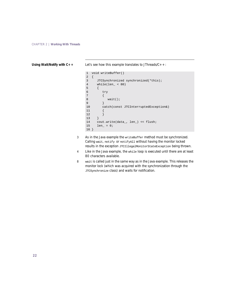<span id="page-29-0"></span>**Using Wait/Notify with C++** Let's see how this example translates to JThreads/C++:

```
1 void writeBuffer()
2 {
3 JTCSynchronized synchronized(*this);
4 while(len_ < 80)
5 {
6 try
7 {
8 wait();
9 }
10 catch(const JTCInterruptedException&)
11 {
12 }
13 }
14 cout.write(data_, len_) << flush;
15 len_ = 0;16 }
```
- 3 As in the Java example the writeBuffer method must be synchronized. Calling wait, notify or notifyAll without having the monitor locked results in the exception JTCIllegalMonitorStateException being thrown.
- 4 Like in the Java example, the while loop is executed until there are at least 80 characters available.
- 8 wait is called just in the same way as in the Java example. This releases the monitor lock (which was acquired with the synchronization through the JTCSynchronize class) and waits for notification.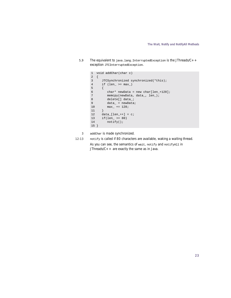5,9 The equivalent to java.lang.InterruptedException is the JThreads/ $C++$ exception JTCInterruptedException.

```
1 void addChar(char c)
2 {
3 JTCSynchronized synchronized(*this);
4 if (len \geq = max_{})<br>5 {
     \{6 char* newData = new char[len_+128];<br>7 memcpy(newData, data, len);
7 memcpy(newData, data_, len_);<br>8 delete[] data;
        delete[] data_;
9 data_ = newData;
10 max<sub>-</sub> += 128;11 }
12 data_{1} = c;
13 if(len_ >= 80)
14 notify();
15 }
```
3 addChar is made synchronized.

12-13 notify is called if 80 characters are available, waking a waiting thread.

As you can see, the semantics of wait, notify and notifyAll in JThreads/ $C++$  are exactly the same as in Java.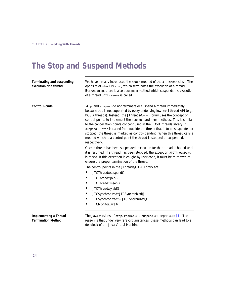# <span id="page-31-0"></span>**The Stop and Suspend Methods**

| Terminating and suspending<br>execution of a thread | We have already introduced the start method of the JTCThread class. The<br>opposite of start is stop, which terminates the execution of a thread.<br>Besides stop, there is also a suspend method which suspends the execution<br>of a thread until resume is called.                                                                                                                                                                                                                                                                                                                                                                                    |  |  |  |
|-----------------------------------------------------|----------------------------------------------------------------------------------------------------------------------------------------------------------------------------------------------------------------------------------------------------------------------------------------------------------------------------------------------------------------------------------------------------------------------------------------------------------------------------------------------------------------------------------------------------------------------------------------------------------------------------------------------------------|--|--|--|
| <b>Control Points</b>                               | stop and suspend do not terminate or suspend a thread immediately,<br>because this is not supported by every underlying low-level thread API (e.g.,<br>POSIX threads). Instead, the JThreads/ $C + +$ library uses the concept of<br>control points to implement the suspend and stop methods. This is similar<br>to the cancellation points concept used in the POSIX threads library. If<br>suspend or stop is called from outside the thread that is to be suspended or<br>stopped, the thread is marked as <i>control-pending</i> . When this thread calls a<br>method which is a control point the thread is stopped or suspended,<br>respectively. |  |  |  |
|                                                     | Once a thread has been suspended, execution for that thread is halted until<br>it is resumed. If a thread has been stopped, the exception JTCThreadDeath<br>is raised. If this exception is caught by user code, it must be re-thrown to<br>ensure the proper termination of the thread.                                                                                                                                                                                                                                                                                                                                                                 |  |  |  |
|                                                     | The control points in the JThreads/ $C_{+}$ + library are:                                                                                                                                                                                                                                                                                                                                                                                                                                                                                                                                                                                               |  |  |  |
|                                                     | JTCThread::suspend()                                                                                                                                                                                                                                                                                                                                                                                                                                                                                                                                                                                                                                     |  |  |  |
|                                                     | JTCThread::join()<br>٠                                                                                                                                                                                                                                                                                                                                                                                                                                                                                                                                                                                                                                   |  |  |  |
|                                                     | JTCThread::sleep()                                                                                                                                                                                                                                                                                                                                                                                                                                                                                                                                                                                                                                       |  |  |  |
|                                                     | JTCThread::yield()                                                                                                                                                                                                                                                                                                                                                                                                                                                                                                                                                                                                                                       |  |  |  |
|                                                     | JTCSynchronized::JTCSyncronized()                                                                                                                                                                                                                                                                                                                                                                                                                                                                                                                                                                                                                        |  |  |  |
|                                                     | JTCSynchronized:: ~ JTCSyncronized()                                                                                                                                                                                                                                                                                                                                                                                                                                                                                                                                                                                                                     |  |  |  |
|                                                     | JTCMonitor::wait()                                                                                                                                                                                                                                                                                                                                                                                                                                                                                                                                                                                                                                       |  |  |  |
| Implementing a Thread<br><b>Termination Method</b>  | The Java versions of $stop$ , resume and suspend are deprecated $[4]$ . The<br>reason is that under very rare circumstances, these methods can lead to a<br>deadlock of the Java Virtual Machine.                                                                                                                                                                                                                                                                                                                                                                                                                                                        |  |  |  |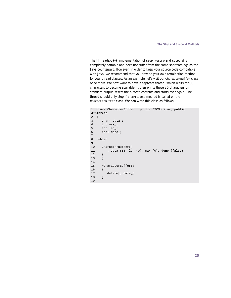The JThreads/ $C_{+}$  implementation of stop, resume and suspend is completely portable and does not suffer from the same shortcomings as the Java counterpart. However, in order to keep your source code compatible with Java, we recommend that you provide your own termination method for your thread classes. As an example, let's visit our CharacterBuffer class once more. We now want to have a separate thread, which waits for 80 characters to become available. It then prints these 80 characters on standard output, resets the buffer's contents and starts over again. The thread should only stop if a terminate method is called on the CharacterBuffer class. We can write this class as follows:

```
1 class CharacterBuffer : public JTCMonitor, public
JTCThread
2 {
3 char* data_;
4 int max_;
5 int len i
6 bool done_;
7
8 public:
9
10 CharacterBuffer()
11 : data_(0), len_(0), max_(0), done_(false)
12 {
13 }
14
15 ~CharacterBuffer()
16 {
17 delete[] data_;
18 }
19
```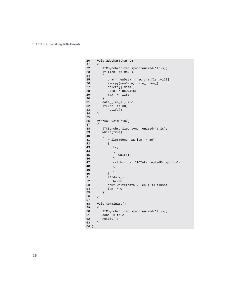```
20 void addChar(char c)
21 {
22 JTCSynchronized synchronized(*this);
23 if (len_ >= max_)
24 {
25 char* newData = new char[len +128];
26 memcpy(newData, data_, len_);
27 delete[] data_;
28 data_ = newData;
29 max_ += 128;
30 }
31 data_{len_{+}} = c;32 if(len_ >= 80)
33 notify();
34 }
35
36 virtual void run()
37 {
38 JTCSynchronized synchronized(*this);
39 while(true)
40 {
41 while(!done_ && len_ < 80)
42 {
43 try
44 {
45 wait();
46 }
47 catch(const JTCInterruptedException&)
48 {
49 }
50 }
51 if(done_)
52 break;
53 cout.write(data_, len_) << flush;<br>54 len_ = 0;
        len_ = 0;55 }
56 }
57
58 void terminate()
59 {
60 JTCSynchronized synchronized(*this);
61 done_ = true;
62 notify();
63 }
64 };
```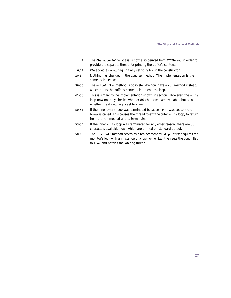- 1 The CharacterBuffer class is now also derived from JTCThread in order to provide the separate thread for printing the buffer's contents.
- 6,11 We added a done\_ flag, initially set to false in the constructor.
- 20-34 Nothing has changed in the addChar method. The implementation is the same as in section .
- 36-56 The writeBuffer method is obsolete. We now have a run method instead, which prints the buffer's contents in an endless loop.
- 41-50 This is similar to the implementation shown in section [.](#page-29-0) However, the while loop now not only checks whether 80 characters are available, but also whether the done\_ flag is set to true.
- 50-51 If the inner while loop was terminated because done\_ was set to true, break is called. This causes the thread to exit the outer while loop, to return from the run method and to terminate.
- 53-54 If the inner while loop was terminated for any other reason, there are 80 characters available now, which are printed on standard output.
- 58-63 The terminate method serves as a replacement for stop. It first acquires the monitor's lock with an instance of JTCSynchronize, then sets the done flag to true and notifies the waiting thread.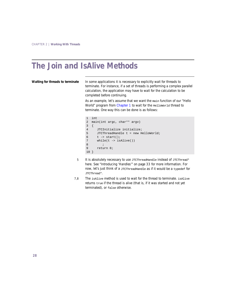## <span id="page-35-0"></span>**The Join and IsAlive Methods**

**Waiting for threads to terminate** In some applications it is necessary to explicitly wait for threads to terminate. For instance, if a set of threads is performing a complex parallel calculation, the application may have to wait for the calculation to be completed before continuing.

> As an example, let's assume that we want the main function of our "Hello World" program from [Chapter 1](#page-8-1) to wait for the HelloWorld thread to terminate. One way this can be done is as follows:

```
1 int
2 main(int argc, char** argv)
3 {
4 JTCInitialize initialize;
5 JTCThreadHandle t = new HelloWorld;
6 \t t \rightarrow start()7 while(t -> isAlive())
8 ;
9 return 0;
10 }
```
- 5 It is absolutely necessary to use JTCThreadHandle instead of JTCThread\* here. See ["Introducing 'Handles'" on page 33](#page-40-1) for more information. For now, let's just think of a JTCThreadHandle as if it would be a typedef for JTCThread\*.
- 7,8 The isAlive method is used to wait for the thread to terminate. isAlive returns true if the thread is alive (that is, if it was started and not yet terminated), or false otherwise.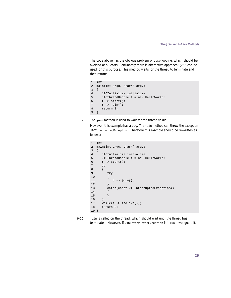The code above has the obvious problem of busy-looping, which should be avoided at all costs. Fortunately there is alternative approach: join can be used for this purpose. This method waits for the thread to terminate and then returns.

```
1 int
2 main(int argc, char** argv)
3 {
4 JTCInitialize initialize;
5 JTCThreadHandle t = new HelloWorld;<br>6 t -> start();
     t \rightarrow start();
7 t \rightarrow j \text{oin}();
8 return 0;
9 }
```
7 The join method is used to wait for the thread to die.

However, this example has a bug. The join method can throw the exception JTCInterruptedException. Therefore this example should be re-written as follows:

```
1 int
2 main(int argc, char** argv)
3 {
4 JTCInitialize initialize;
5 JTCThreadHandle t = new HelloWorld;
6 t -> start();
7 do
8 {
9 try
10 {
11 t -> join();
12 }
13 catch(const JTCInterruptedException&)
14 {
15 }
16 }
17 while(t -> isAlive());
18 return 0;
19 }
```
9-15 join is called on the thread, which should wait until the thread has terminated. However, if JTCInterruptedException is thrown we ignore it.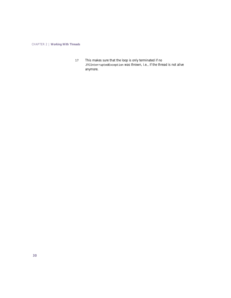17 This makes sure that the loop is only terminated if no JTCInterruptedException was thrown, i.e., if the thread is not alive anymore.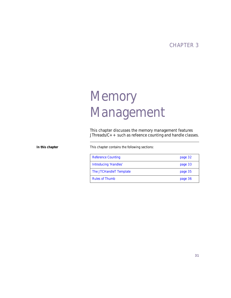## CHAPTER 3

# **Memory** Management

*This chapter discusses the memory management features JThreads/C++ such as refeence counting and handle classes.*

**In this chapter** This chapter contains the following sections:

| <b>Reference Counting</b> | page 32 |
|---------------------------|---------|
| Introducing 'Handles'     | page 33 |
| The JTCHandleT Template   | page 35 |
| <b>Rules of Thumb</b>     | page 36 |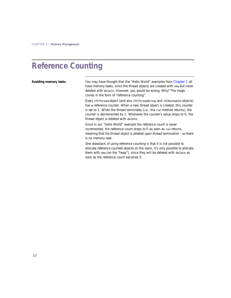## <span id="page-39-0"></span>**Reference Counting**

**Avoiding memory leaks** You may have thought that the "Hello World" examples from [Chapter 1](#page-8-0) all have memory leaks, since the thread objects are created with new but never deleted with delete. However, you would be wrong. Why? The magic comes in the form of "reference counting".

> Every JTCThread object (and also JTCThreadGroup and JTCRunnable objects) has a reference counter. When a new thread object is created, this counter is set to 1. When the thread terminates (i.e., the run method returns), the counter is decremented by 1. Whenever the counter's value drops to 0, the thread object is deleted with delete.

> Since in our "Hello World" example the reference count is never incremented, the reference count drops to 0 as soon as run returns, meaning that the thread object is deleted upon thread termination - so there is no memory leak.

> One drawback of using reference counting is that it is not possible to allocate reference counted objects on the stack. It's only possible to allocate them with new (on the "heap"), since they will be deleted with delete as soon as the reference count becomes 0.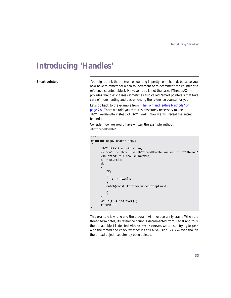## <span id="page-40-0"></span>**Introducing 'Handles'**

**Smart pointers** You might think that reference counting is pretty complicated, because you now have to remember when to increment or to decrement the counter of a reference counted object. However, this is not the case. JThreads/ $C_{+}$ + provides "handle" classes (sometimes also called "smart pointers") that take care of incrementing and decrementing the reference counter for you.

> Let's go back to the example from ["The Join and IsAlive Methods" on](#page-35-0)  [page 28](#page-35-0). There we told you that it is absolutely necessary to use JTCThreadHandle instead of JTCThread\*. Now we will reveal the secret behind it.

Consider how we would have written the example without JTCThreadHandle:

```
int
main(int argc, char** argv)
{
      JTCInitialize initialize;
      // Don't do this! Use JTCThreadHandle instead of JTCThread*
      JTCThread* t = new HelloWorld;
      t \rightarrow start();
      do
      {
          try
          {
             t -> join();
          }
          catch(const JTCInterruptedException&)
          {
          }
      }
      while(t -> isAlive());
      return 0;
}
```
This example is wrong and the program will most certainly crash. When the thread terminates, its reference count is decremented from 1 to 0 and thus the thread object is deleted with delete. However, we are still trying to join with the thread and check whether it's still alive using isAlive even though the thread object has already been deleted.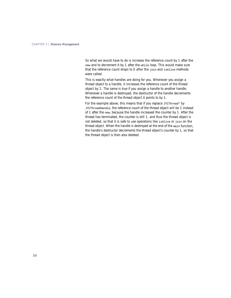So what we would have to do is increase the reference count by 1 after the new and to decrement it by 1 after the while loop. This would make sure that the reference count drops to 0 *after* the join and isAlive methods were called.

This is exactly what handles are doing for you. Whenever you assign a thread object to a handle, it increases the reference count of the thread object by 1. The same is true if you assign a handle to another handle. Whenever a handle is destroyed, the destructor of the handle decrements the reference count of the thread object it points to by 1.

For the example above, this means that if you replace JTCThread\* by JTCThreadHandle, the reference count of the thread object will be 2 instead of 1 after the new, because the handle increased the counter by 1. After the thread has terminated, the counter is still 1, and thus the thread object is not deleted, so that it is safe to use operations like is alive or join on the thread object. When the handle is destroyed at the end of the main function, the handle's destructor decrements the thread object's counter by 1, so that the thread object is then also deleted.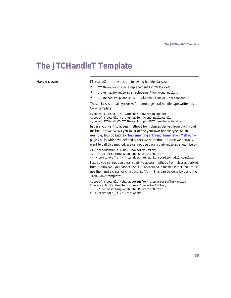## <span id="page-42-0"></span>**The JTCHandleT Template**

**Handle classes** JThreads/C++ provides the following handle classes:

- **•** JTCThreadHandle as a replacement for JTCThread\*.
- **•** JTCRunnableHandle as a replacement for JTCRunnable\*.
- **•** JTCThreadGroupHandle as a replacement for JTCThreadGroup\*.

These classes are all typedefs for a more general handle type written as a  $C++$  template:

typedef JTCHandleT<JTCThread> JTCThreadHandle; typedef JTCHandleT<JTCRunnable> JTCRunnableHandle; typedef JTCHandleT<JTCThreadGroup> JTCThreadGroupHandle; In case you want to access methods from classes derived from JTCThread (or from JTCRunnable) you must define your own handle type. As an example, let's go back to ["Implementing a Thread Termination Method" on](#page-31-0)  [page 24](#page-31-0), in which we defined a terminate method. In case we actually want to call this method, we cannot use **JTCThreadHandle as shown below:** 

 $JTCThreadH and le t = new CharacterBuffer;$ 

... // Do something with the CharacterBuffer

t -> terminate(); // This does not work, compiler will complain Just as you cannot use JTCThread\* to access methods from classes derived from JTCThread, you cannot use JTCThreadHandle for this either. You must use the handle class for CharacterBuffer\*. This can be done by using the JTCHandleT template:

typedef JTCHandleT<CharacterBuffer> CharacterBufferHandle; CharacterBufferHandle t = new CharacterBuffer; ... // Do something with the CharacterBuffer

t -> terminate(); // This works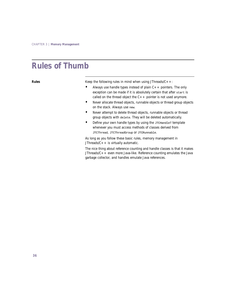## <span id="page-43-0"></span>**Rules of Thumb**

**Rules** Keep the following rules in mind when using JThreads/C++:

- **•** Always use handle types instead of plain C++ pointers. The only exception can be made if it is absolutely certain that after start is called on the thread object the  $C++$  pointer is not used anymore.
- **•** Never allocate thread objects, runnable objects or thread group objects on the stack. Always use new.
- **•** Never attempt to delete thread objects, runnable objects or thread group objects with delete. They will be deleted automatically.
- Define your own handle types by using the JTCHandleT template whenever you must access methods of classes derived from JTCThread, JTCThreadGroup or JTCRunnable.

As long as you follow these basic rules, memory management in JThreads/ $C++$  is virtually automatic.

The nice thing about reference counting and handle classes is that it makes JThreads/ $C++$  even more Java-like. Reference counting emulates the Java garbage collector, and handles emulate Java references.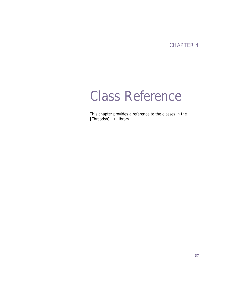# Class Reference

*This chapter provides a reference to the classes in the JThreads/C++ library.*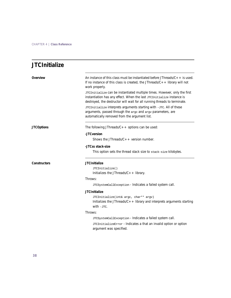## **JTCInitialize**

| Overview            | An instance of this class must be instantiated before JThreads/ $C_{+}$ + is used.<br>If no instance of this class is created, the JThreads/ $C++$ library will not<br>work properly.                                           |
|---------------------|---------------------------------------------------------------------------------------------------------------------------------------------------------------------------------------------------------------------------------|
|                     | JTCInitialize Can be instantiated multiple times. However, only the first<br>instantiation has any effect. When the last JTCInitialize instance is<br>destroyed, the destructor will wait for all running threads to terminate. |
|                     | JTCInitialize interprets arguments starting with -JTC. All of these<br>arguments, passed through the argc and argv parameters, are<br>automatically removed from the argument list.                                             |
| <b>JTCOptions</b>   | The following JThreads/ $C++$ options can be used:                                                                                                                                                                              |
|                     | -JTCversion                                                                                                                                                                                                                     |
|                     | Shows the JThreads/ $C_{+}$ + version number.                                                                                                                                                                                   |
|                     | -JTCss stack-size                                                                                                                                                                                                               |
|                     | This option sets the thread stack size to stack-size kilobytes.                                                                                                                                                                 |
| <b>Constructors</b> | <b>JTCInitialize</b>                                                                                                                                                                                                            |
|                     | JTCInitialize()                                                                                                                                                                                                                 |
|                     | Initializes the JThreads/ $C++$ library.                                                                                                                                                                                        |
|                     | Throws:                                                                                                                                                                                                                         |
|                     | JTCSystemCallException - Indicates a failed system call.                                                                                                                                                                        |
|                     | <b>JTCInitialize</b>                                                                                                                                                                                                            |
|                     | JTCInitialize(int& argc, char** argv)<br>Initializes the JThreads/ $C_{++}$ library and interprets arguments starting<br>with $-\pi$ c.                                                                                         |
|                     | Throws:                                                                                                                                                                                                                         |
|                     | JTCSystemCallException - Indicates a failed system call.<br>JTCInitializeError - Indicates a that an invalid option or option<br>argument was specified.                                                                        |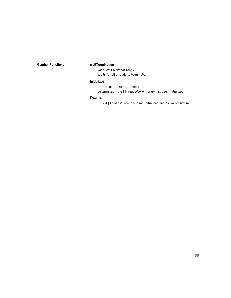#### **Member Functions waitTermination**

void waitTermination() Waits for all threads to terminate.

#### **initialized**

static bool initialized() Determines if the JThreads/ $C++$  library has been initialized.

#### Returns:

true if JThreads/ $C++$  has been initialized and  $false$  otherwise.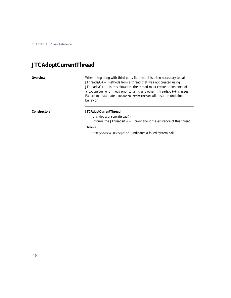## **JTCAdoptCurrentThread**

**Overview** When integrating with third-party libraries, it is often necessary to call JThreads/ $C++$  methods from a thread that was not created using JThreads/C++. In this situation, the thread must create an instance of JTCAdoptCurrentThread prior to using any other JThreads/C++ classes. Failure to instantiate JTCAdoptCurrentThread will result in undefined behavior.

#### **Constructors JTCAdoptCurrentThread**

JTCAdoptCurrentThread()

Informs the JThreads/ $C++$  library about the existence of this thread.

Throws:

JTCSystemCallException - Indicates a failed system call.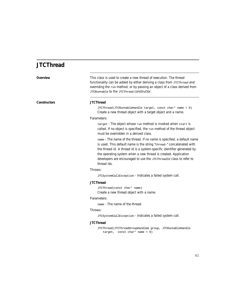## **JTCThread**

| Overview     | This class is used to create a new thread of execution. The thread<br>functionality can be added by either deriving a class from JTCThread and<br>overriding the run method, or by passing an object of a class derived from<br>JTCRunnable to the JTCThread CONStructor.                                                                                                        |
|--------------|----------------------------------------------------------------------------------------------------------------------------------------------------------------------------------------------------------------------------------------------------------------------------------------------------------------------------------------------------------------------------------|
| Constructors | <b>JTCThread</b>                                                                                                                                                                                                                                                                                                                                                                 |
|              | JTCThread(JTCRunnableHandle target, const char* name = 0)<br>Create a new thread object with a target object and a name.                                                                                                                                                                                                                                                         |
|              | Parameters:                                                                                                                                                                                                                                                                                                                                                                      |
|              | target - The object whose run method is invoked when start is<br>called. If no object is specified, the run method of the thread object<br>must be overridden in a derived class.                                                                                                                                                                                                |
|              | name - The name of the thread. If no name is specified, a default name<br>is used. This default name is the string "thread-" concatenated with<br>the thread id. A thread id is a system-specific identifier generated by<br>the operating system when a new thread is created. Application<br>developers are encouraged to use the JTCThreadId class to refer to<br>thread ids. |
|              | Throws:                                                                                                                                                                                                                                                                                                                                                                          |
|              | JTCSystemCallException - Indicates a failed system call.                                                                                                                                                                                                                                                                                                                         |
|              | JTCThread                                                                                                                                                                                                                                                                                                                                                                        |
|              | JTCThread(const char* name)<br>Create a new thread object with a name.                                                                                                                                                                                                                                                                                                           |
|              | Parameters:                                                                                                                                                                                                                                                                                                                                                                      |
|              | name - The name of the thread.                                                                                                                                                                                                                                                                                                                                                   |
|              | Throws:                                                                                                                                                                                                                                                                                                                                                                          |
|              | JTCSystemCallException - Indicates a failed system call.                                                                                                                                                                                                                                                                                                                         |
|              | JTCThread                                                                                                                                                                                                                                                                                                                                                                        |
|              | JTCThread(JTCThreadGroupHandle& group, JTCRunnableHandle<br>target, const char* name = $0$ )                                                                                                                                                                                                                                                                                     |
|              |                                                                                                                                                                                                                                                                                                                                                                                  |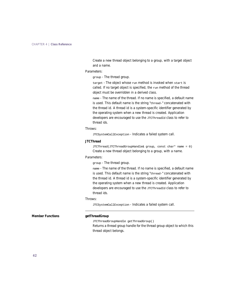Create a new thread object belonging to a group, with a target object and a name.

#### Parameters:

group - The thread group.

target - The object whose run method is invoked when start is called. If no target object is specified, the run method of the thread object must be overridden in a derived class.

name - The name of the thread. If no name is specified, a default name is used. This default name is the string "thread-" concatenated with the thread id. A thread id is a system-specific identifier generated by the operating system when a new thread is created. Application developers are encouraged to use the JTCThreadId class to refer to thread ids.

#### Throws:

JTCSystemCallException - Indicates a failed system call.

#### **JTCThread**

JTCThread(JTCThreadGroupHandle& group, const char\* name = 0) Create a new thread object belonging to a group, with a name.

#### Parameters:

group - The thread group.

name - The name of the thread. If no name is specified, a default name is used. This default name is the string "thread-" concatenated with the thread id. A thread id is a system-specific identifier generated by the operating system when a new thread is created. Application developers are encouraged to use the JTCThreadId class to refer to thread ids.

#### Throws:

JTCSystemCallException - Indicates a failed system call.

**Member Functions getThreadGroup** 

JTCThreadGroupHandle getThreadGroup() Returns a thread group handle for the thread group object to which this thread object belongs.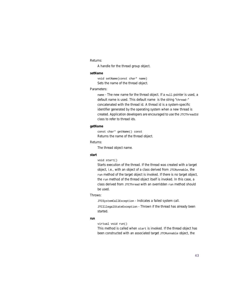#### Returns:

A handle for the thread group object.

#### **setName**

void setName(const char\* name) Sets the name of the thread object.

#### Parameters:

name - The new name for the thread object. If a null pointer is used, a default name is used. This default name is the string "thread-" concatenated with the thread id. A thread id is a system-specific identifier generated by the operating system when a new thread is created. Application developers are encouraged to use the JTCThreadId class to refer to thread ids.

#### **getName**

const char\* getName() const Returns the name of the thread object.

#### Returns:

The thread object name.

#### **start**

#### void start()

Starts execution of the thread. If the thread was created with a target object, i.e., with an object of a class derived from JTCRunnable, the run method of the target object is invoked. If there is no target object, the run method of the thread object itself is invoked. In this case, a class derived from JTCThread with an overridden run method should be used.

#### Throws:

JTCSystemCallException - Indicates a failed system call.

JTCIllegalStateException - Thrown if the thread has already been started.

#### **run**

### virtual void run()

This method is called when start is invoked. If the thread object has been constructed with an associated target JTCRunnable object, the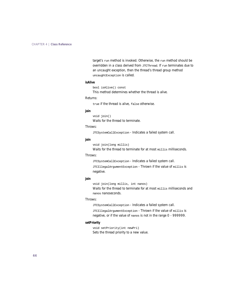target's run method is invoked. Otherwise, the run method should be overridden in a class derived from JTCThread. If run terminates due to an uncaught exception, then the thread's thread group method uncaughtException is called.

#### **isAlive**

bool isAlive() const

This method determines whether the thread is alive.

#### Returns:

true if the thread is alive, false otherwise.

#### **join**

void join() Waits for the thread to terminate.

#### Throws:

JTCSystemCallException - Indicates a failed system call.

#### **join**

void join(long millis)

Waits for the thread to terminate for at most millise milliseconds.

#### Throws:

JTCSystemCallException - Indicates a failed system call.

```
JTCIllegalArgumentException - Thrown if the value of millis is 
negative.
```
#### **join**

void join(long millis, int nanos)

Waits for the thread to terminate for at most milliseconds and nanos nanoseconds.

#### Throws:

JTCSystemCallException - Indicates a failed system call.

JTCIllegalArgumentException - Thrown if the value of millis is negative, or if the value of nanos is not in the range 0 - 999999.

#### **setPriority**

void setPriority(int newPri) Sets the thread priority to a new value.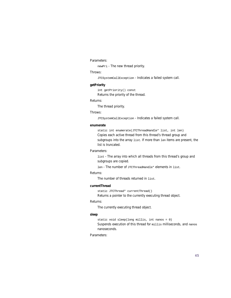#### Parameters:

newPri - The new thread priority.

#### Throws:

JTCSystemCallException - Indicates a failed system call.

#### **getPriority**

int getPriority() const

Returns the priority of the thread.

#### Returns:

The thread priority.

#### Throws:

JTCSystemCallException - Indicates a failed system call.

#### **enumerate**

static int enumerate(JTCThreadHandle\* list, int len) Copies each active thread from this thread's thread group and subgroups into the array list. If more than len items are present, the list is truncated.

#### Parameters:

list - The array into which all threads from this thread's group and subgroups are copied.

len - The number of JTCThreadHandle\* elements in list.

#### Returns:

The number of threads returned in list.

#### **currentThread**

static JTCThread\* currentThread()

Returns a pointer to the currently executing thread object.

#### Returns:

The currently executing thread object.

#### **sleep**

static void sleep(long millis, int nanos = 0) Suspends execution of this thread for milliseconds, and nanos nanoseconds.

Parameters: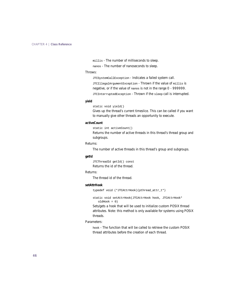millis - The number of milliseconds to sleep.

nanos - The number of nanoseconds to sleep.

#### Throws:

JTCSystemCallException - Indicates a failed system call.

JTCIllegalArgumentException - Thrown if the value of millis is negative, or if the value of nanos is not in the range 0 - 999999.

JTCInterruptedException - Thrown if the sleep call is interrupted.

**yield**

static void yield()

Gives up the thread's current timeslice. This can be called if you want to manually give other threads an opportunity to execute.

#### **activeCount**

static int activeCount()

Returns the number of active threads in this thread's thread group and subgroups.

#### Returns:

The number of active threads in this thread's group and subgroups.

#### **getId**

JTCThreadId getId() const Returns the id of the thread.

#### Returns:

The thread id of the thread.

#### **setAttrHook**

typedef void (\*JTCAttrHook)(pthread\_attr\_t\*)

static void setAttrHook(JTCAttrHook hook, JTCAttrHook\* oldHook = 0)

Sets/gets a *hook* that will be used to initialize custom POSIX thread attributes. Note: this method is only available for systems using POSIX threads.

#### Parameters:

hook - The function that will be called to retrieve the custom POSIX thread attributes before the creation of each thread.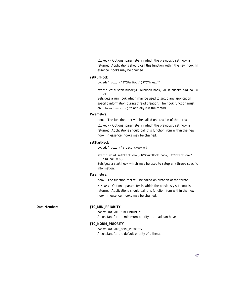oldHook - Optional parameter in which the previously set hook is returned. Applications should call this function within the new hook. In essence, hooks may be chained.

#### **setRunHook**

```
typedef void (*JTCRunHook)(JTCThread*)
```
static void setRunHook(JTCRunHook hook, JTCRunHook\* oldHook =  $(1)$ 

Sets/gets a run *hook* which may be used to setup any application specific information during thread creation. The hook function must call thread  $\rightarrow$  run() to actually run the thread.

#### Parameters:

hook - The function that will be called on creation of the thread.

oldHook - Optional parameter in which the previously set hook is returned. Applications should call this function from within the new hook. In essence, hooks may be chained.

#### **setStartHook**

typedef void (\*JTCStartHook)()

static void setStartHook(JTCStartHook hook, JTCStartHook\* oldHook = 0)

Sets/gets a start *hook* which may be used to setup any thread specific information.

#### Parameters:

hook - The function that will be called on creation of the thread.

oldHook - Optional parameter in which the previously set hook is returned. Applications should call this function from within the new hook. In essence, hooks may be chained.

#### Data Members **JTC\_MIN\_PRIORITY**

const int JTC\_MIN\_PRIORITY A constant for the minimum priority a thread can have.

#### **JTC\_NORM\_PRIORITY**

const int JTC\_NORM\_PRIORITY A constant for the default priority of a thread.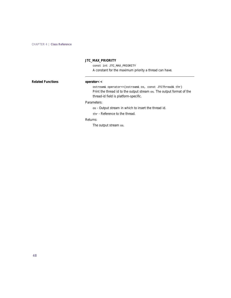### **JTC\_MAX\_PRIORITY**

const int JTC\_MAX\_PRIORITY A constant for the maximum priority a thread can have.

### **Related Functions operator<<**

ostream& operator<<(ostream& os, const JTCThread& thr) Print the thread id to the output stream os. The output format of the thread-id field is platform-specific.

### Parameters:

os - Output stream in which to insert the thread id.

thr - Reference to the thread.

### Returns:

The output stream os.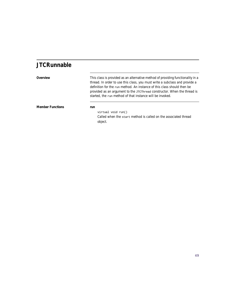## **JTCRunnable**

| Overview                | This class is provided as an alternative method of providing functionality in a<br>thread. In order to use this class, you must write a subclass and provide a<br>definition for the run method. An instance of this class should then be<br>provided as an argument to the JTCThread constructor. When the thread is<br>started, the run method of that instance will be invoked. |
|-------------------------|------------------------------------------------------------------------------------------------------------------------------------------------------------------------------------------------------------------------------------------------------------------------------------------------------------------------------------------------------------------------------------|
| <b>Member Functions</b> | run<br>virtual void run()                                                                                                                                                                                                                                                                                                                                                          |
|                         | Called when the start method is called on the associated thread<br>object.                                                                                                                                                                                                                                                                                                         |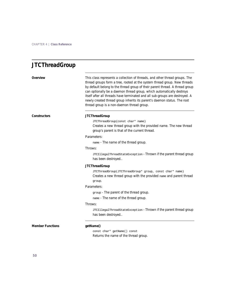## **JTCThreadGroup**

| Overview                | This class represents a collection of threads, and other thread groups. The<br>thread groups form a tree, rooted at the system thread group. New threads<br>by default belong to the thread group of their parent thread. A thread group<br>can optionally be a daemon thread group, which automatically destroys<br>itself after all threads have terminated and all sub-groups are destroyed. A<br>newly created thread group inherits its parent's daemon status. The root<br>thread group is a non-daemon thread group. |
|-------------------------|-----------------------------------------------------------------------------------------------------------------------------------------------------------------------------------------------------------------------------------------------------------------------------------------------------------------------------------------------------------------------------------------------------------------------------------------------------------------------------------------------------------------------------|
| <b>Constructors</b>     | <b>JTCThreadGroup</b><br>JTCThreadGroup(const char* name)<br>Creates a new thread group with the provided name. The new thread                                                                                                                                                                                                                                                                                                                                                                                              |
|                         | group's parent is that of the current thread.                                                                                                                                                                                                                                                                                                                                                                                                                                                                               |
|                         | Parameters:                                                                                                                                                                                                                                                                                                                                                                                                                                                                                                                 |
|                         | name - The name of the thread group.                                                                                                                                                                                                                                                                                                                                                                                                                                                                                        |
|                         | Throws:                                                                                                                                                                                                                                                                                                                                                                                                                                                                                                                     |
|                         | JTCIllegalThreadStateException - Thrown if the parent thread group<br>has been destroyed                                                                                                                                                                                                                                                                                                                                                                                                                                    |
|                         | <b>JTCThreadGroup</b>                                                                                                                                                                                                                                                                                                                                                                                                                                                                                                       |
|                         | JTCThreadGroup(JTCThreadGroup* group, const char* name)<br>Creates a new thread group with the provided name and parent thread<br>group.                                                                                                                                                                                                                                                                                                                                                                                    |
|                         | Parameters:                                                                                                                                                                                                                                                                                                                                                                                                                                                                                                                 |
|                         | group - The parent of the thread group.                                                                                                                                                                                                                                                                                                                                                                                                                                                                                     |
|                         | name - The name of the thread group.                                                                                                                                                                                                                                                                                                                                                                                                                                                                                        |
|                         | Throws:                                                                                                                                                                                                                                                                                                                                                                                                                                                                                                                     |
|                         | JTCIllegalThreadStateException - Thrown if the parent thread group<br>has been destroyed                                                                                                                                                                                                                                                                                                                                                                                                                                    |
| <b>Member Functions</b> | getName()                                                                                                                                                                                                                                                                                                                                                                                                                                                                                                                   |

const char\* getName() const Returns the name of the thread group.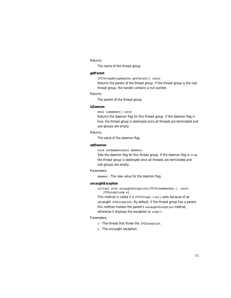#### Returns:

The name of the thread group.

#### **getParent**

JTCThreadGroupHandle getParent() const

Returns the parent of the thread group. If the thread group is the root thread group, the handle contains a null pointer.

#### Returns:

The parent of the thread group.

#### **isDaemon**

bool isDaemon() const

Returns the daemon flag for this thread group. If the daemon flag is true, the thread group is destroyed once all threads are terminated and sub-groups are empty.

#### Returns:

The value of the daemon flag.

#### **setDaemon**

void setDaemon(bool daemon)

Sets the daemon flag for this thread group. If the daemon flag is true, the thread group is destroyed once all threads are terminated and sub-groups are empty.

#### Parameters:

daemon - The new value for the daemon flag.

#### **uncaughtException**

virtual void uncaughtException(JTCThreadHandle t, const JTCException& e)

This method is called if a  $JTCThread::run()$  exits because of an uncaught JTCException. By default, if the thread group has a parent this method invokes the parent's uncaughtException method, otherwise it displays the exception to stderr.

#### Parameters:

- t The thread that threw the JTCException.
- e The uncaught exception.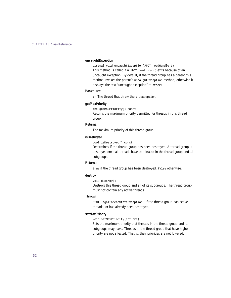#### **uncaughtException**

virtual void uncaughtException(JTCThreadHandle t) This method is called if a  $JTCThread::run()$  exits because of an uncaught exception. By default, if the thread group has a parent this method invokes the parent's uncaughtException method, otherwise it displays the text "uncaught exception" to stderr.

#### Parameters:

t - The thread that threw the JTCException.

#### **getMaxPriority**

int getMaxPriority() const

Returns the maximum priority permitted for threads in this thread group.

#### Returns:

The maximum priority of this thread group.

#### **isDestroyed**

bool isDestroyed() const

Determines if the thread group has been destroyed. A thread group is destroyed once all threads have terminated in the thread group and all subgroups.

#### Returns:

true if the thread group has been destroyed, false otherwise.

#### **destroy**

void destroy()

Destroys this thread group and all of its subgroups. The thread group must not contain any active threads.

#### Throws:

JTCIllegalThreadStateException - If the thread group has active threads, or has already been destroyed.

#### **setMaxPriority**

void setMaxPriority(int pri)

Sets the maximum priority that threads in the thread group and its subgroups may have. Threads in the thread group that have higher priority are not affected. That is, their priorities are not lowered.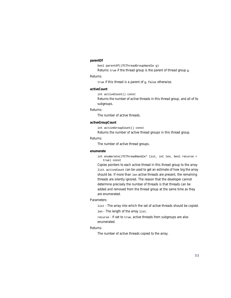#### **parentOf**

bool parentOf(JTCThreadGroupHandle g)

Returns true if the thread group is the parent of thread group g.

#### Returns:

true if this thread is a parent of g, false otherwise.

#### **activeCount**

int activeCount() const

Returns the number of active threads in this thread group, and all of its subgroups.

#### Returns:

The number of active threads.

#### **activeGroupCount**

int activeGroupCount() const

Returns the number of active thread groups in this thread group.

#### Returns:

The number of active thread groups.

#### **enumerate**

int enumerate(JTCThreadHandle\* list, int len, bool recurse = true) const

Copies pointers to each active thread in this thread group to the array list. activeCount can be used to get an estimate of how big the array should be. If more than len active threads are present, the remaining threads are silently ignored. The reason that the developer cannot determine precisely the number of threads is that threads can be added and removed from the thread group at the same time as they are enumerated.

#### Parameters:

list - The array into which the set of active threads should be copied.

len - The length of the array list.

recurse - If set to true, active threads from subgroups are also enumerated.

#### Returns:

The number of active threads copied to the array.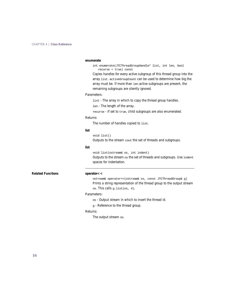#### **enumerate**

int enumerate(JTCThreadGroupHandle\* list, int len, bool recurse = true) const

Copies handles for every active subgroup of this thread group into the array list. activeGroupCount can be used to determine how big the array must be. If more than len active subgroups are present, the remaining subgroups are silently ignored.

#### Parameters:

list - The array in which to copy the thread group handles.

len - The length of the array.

recurse - If set to true, child subgroups are also enumerated.

#### Returns:

The number of handles copied to list.

#### **list**

void list() Outputs to the stream cout the set of threads and subgroups.

#### **list**

void list(ostream& os, int indent) Outputs to the stream os the set of threads and subgroups. Use indent spaces for indentation.

**Related Functions operator<<**

ostream& operator<<(ostream& os, const JTCThreadGroup& g) Prints a string representation of the thread group to the output stream os. This calls g.list(os, 4).

#### Parameters:

os - Output stream in which to insert the thread id.

g - Reference to the thread group.

#### Returns:

The output stream os.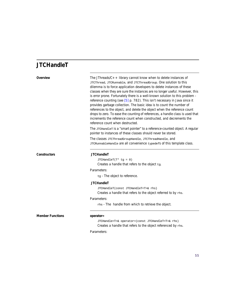## **JTCHandleT**

**Overview** The JThreads/C + library cannot know when to delete instances of JTCThread, JTCRunnable, and JTCThreadGroup. One solution to this dilemma is to force application developers to delete instances of these classes when they are sure the instances are no longer useful. However, this is error prone. Fortunately there is a well-known solution to this problem reference counting (see  $[5]$  p. 782). This isn't necessary in Java since it provides garbage collection. The basic idea is to count the number of references to the object, and delete the object when the reference count drops to zero. To ease the counting of references, a handle class is used that increments the reference count when constructed, and decrements the reference count when destructed.

> The JTCHandleT is a "smart pointer" to a reference-counted object. A regular pointer to instances of these classes should never be stored.

The classes JTCThreadGroupHandle, JTCThreadHandle, and JTCRunnableHandle are all convenience typedefs of this template class.

#### **Constructors JTCHandleT**

 $JTCHandler(T* tg = 0)$ Creates a handle that refers to the object tg.

Parameters:

tg - The object to reference.

#### **JTCHandleT**

JTCHandleT(const JTCHandleT<T>& rhs) Creates a handle that refers to the object referred to by rhs.

#### Parameters:

rhs - The handle from which to retrieve the object.

**Member Functions operator=**

JTCHandle<T>& operator=(const JTCHandleT<T>& rhs) Creates a handle that refers to the object referenced by rhs.

Parameters: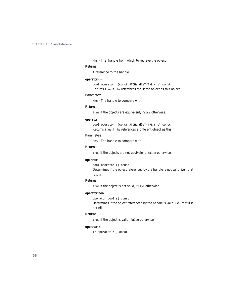rhs - The handle from which to retrieve the object.

#### Returns:

A reference to the handle.

#### **operator==**

bool operator==(const JTCHandleT<T>& rhs) const Returns true if rhs references the same object as this object.

#### Parameters:

rhs - The handle to compare with.

#### Returns:

true if the objects are equivalent, false otherwise.

#### **operator!=**

bool operator!=(const JTCHandleT<T>& rhs) const Returns true if rhs references a different object as this.

#### Parameters:

rhs - The handle to compare with.

#### Returns:

true if the objects are not equivalent, false otherwise.

#### **operator!**

bool operator!() const

Determines if the object referenced by the handle is not valid, i.e., that it is nil.

#### Returns:

true if the object is not valid, false otherwise.

#### **operator bool**

operator bool () const

Determines if the object referenced by the handle is valid, i.e., that it is not nil.

#### Returns:

true if the object is valid, false otherwise.

#### **operator->**

T\* operator->() const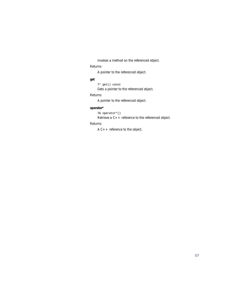Invokes a method on the referenced object.

### Returns:

A pointer to the referenced object.

#### **get**

T\* get() const Gets a pointer to the referenced object.

#### Returns:

A pointer to the referenced object.

### **operator\***

T& operator\*()

Retrieve a C++ reference to the referenced object.

#### Returns:

 $A C++$  reference to the object.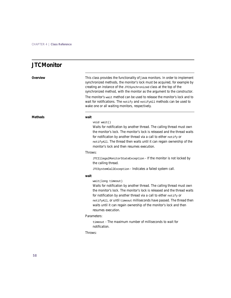### **JTCMonitor**

### **Overview** This class provides the functionality of Java monitors. In order to implement synchronized methods, the monitor's lock must be acquired, for example by creating an instance of the JTCSynchronized class at the top of the synchronized method, with the monitor as the argument to the constructor. The monitor's wait method can be used to release the monitor's lock and to wait for notifications. The notify and notifyAll methods can be used to wake one or all waiting monitors, respectively. **Methods wait** void wait() Waits for notification by another thread. The calling thread must own the monitor's lock. The monitor's lock is released and the thread waits for notification by another thread via a call to either notify or notifyAll. The thread then waits until it can regain ownership of the monitor's lock and then resumes execution. Throws: JTCIllegalMonitorStateException - If the monitor is not locked by the calling thread. JTCSystemCallException - Indicates a failed system call. **wait** wait(long timeout) Waits for notification by another thread. The calling thread must own the monitor's lock. The monitor's lock is released and the thread waits for notification by another thread via a call to either notify or notifyAll, or until timeout milliseconds have passed. The thread then waits until it can regain ownership of the monitor's lock and then resumes execution. Parameters: timeout - The maximum number of milliseconds to wait for notification.

Throws: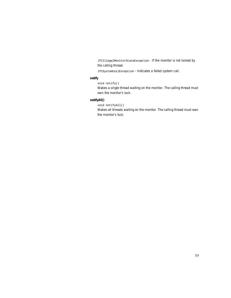JTCIllegalMonitorStateException - If the monitor is not locked by the calling thread.

JTCSystemCallException - Indicates a failed system call.

#### **notify**

void notify()

Wakes a single thread waiting on the monitor. The calling thread must own the monitor's lock.

### **notifyAll()**

void notifyAll()

Wakes all threads waiting on the monitor. The calling thread must own the monitor's lock.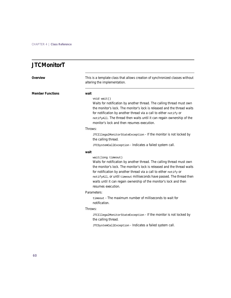| Overview                | This is a template class that allows creation of synchronized classes without<br>altering the implementation.                                                                                                                                                                                                                                                                                                    |
|-------------------------|------------------------------------------------------------------------------------------------------------------------------------------------------------------------------------------------------------------------------------------------------------------------------------------------------------------------------------------------------------------------------------------------------------------|
| <b>Member Functions</b> | wait                                                                                                                                                                                                                                                                                                                                                                                                             |
|                         | void wait()<br>Waits for notification by another thread. The calling thread must own<br>the monitor's lock. The monitor's lock is released and the thread waits<br>for notification by another thread via a call to either notify or<br>notify All. The thread then waits until it can regain ownership of the<br>monitor's lock and then resumes execution.                                                     |
|                         | Throws:                                                                                                                                                                                                                                                                                                                                                                                                          |
|                         | JTCIllegalMonitorStateException - If the monitor is not locked by<br>the calling thread.                                                                                                                                                                                                                                                                                                                         |
|                         | JTCSystemCallException - Indicates a failed system call.                                                                                                                                                                                                                                                                                                                                                         |
|                         | wait                                                                                                                                                                                                                                                                                                                                                                                                             |
|                         | wait(long timeout)<br>Waits for notification by another thread. The calling thread must own<br>the monitor's lock. The monitor's lock is released and the thread waits<br>for notification by another thread via a call to either notify or<br>notifyAll, or until timeout milliseconds have passed. The thread then<br>waits until it can regain ownership of the monitor's lock and then<br>resumes execution. |
|                         | Parameters:                                                                                                                                                                                                                                                                                                                                                                                                      |
|                         | timeout - The maximum number of milliseconds to wait for<br>notification.                                                                                                                                                                                                                                                                                                                                        |
|                         | Throws:                                                                                                                                                                                                                                                                                                                                                                                                          |
|                         | JTCIllegalMonitorStateException - If the monitor is not locked by<br>the calling thread.                                                                                                                                                                                                                                                                                                                         |
|                         | JTCSystemCallException - Indicates a failed system call.                                                                                                                                                                                                                                                                                                                                                         |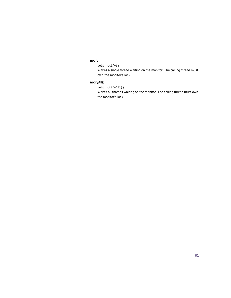### **notify**

### void notify()

Wakes a single thread waiting on the monitor. The calling thread must own the monitor's lock.

### **notifyAll()**

void notifyAll()

Wakes all threads waiting on the monitor. The calling thread must own the monitor's lock.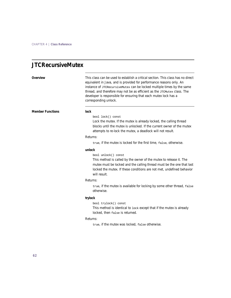## **JTCRecursiveMutex**

**Overview** This class can be used to establish a critical section. This class has no direct equivalent in Java, and is provided for performance reasons only. An instance of JTCRecursiveMutex can be locked multiple times by the same thread, and therefore may not be as efficient as the JTCMutex class. The developer is responsible for ensuring that each mutex lock has a corresponding unlock.

**Member Functions lock** 

bool lock() const

Lock the mutex. If the mutex is already locked, the calling thread blocks until the mutex is unlocked. If the current owner of the mutex attempts to re-lock the mutex, a deadlock will not result.

#### Returns:

true, if the mutex is locked for the first time, false, otherwise.

#### **unlock**

bool unlock() const

This method is called by the owner of the mutex to release it. The mutex must be locked and the calling thread must be the one that last locked the mutex. If these conditions are not met, undefined behavior will result.

#### Returns:

true, if the mutex is available for locking by some other thread, false otherwise.

#### **trylock**

bool trylock() const

This method is identical to lock except that if the mutex is already locked, then false is returned.

#### Returns:

true, if the mutex was locked, false otherwise.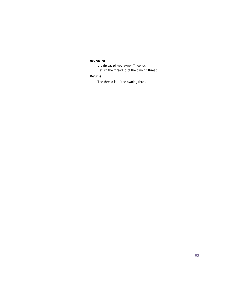### **get\_owner**

JTCThreadId get\_owner() const Return the thread id of the owning thread.

Returns:

The thread id of the owning thread.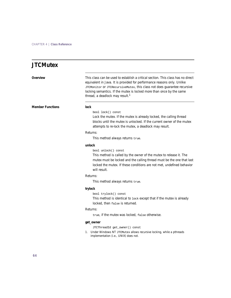### **JTCMutex Overview** This class can be used to establish a critical section. This class has no direct equivalent in Java. It is provided for performance reasons only. Unlike JTCMonitor or JTCRecursiveMutex, this class not does guarantee recursive locking semantics. If the mutex is locked more than once by the same thread, a deadlock may result.<sup>1</sup> **Member Functions lock** bool lock() const Lock the mutex. If the mutex is already locked, the calling thread blocks until the mutex is unlocked. If the current owner of the mutex attempts to re-lock the mutex, a deadlock may result. Returns: This method always returns true. **unlock** bool unlock() const This method is called by the owner of the mutex to release it. The mutex must be locked and the calling thread must be the one that last locked the mutex. If these conditions are not met, undefined behavior will result. Returns: This method always returns true. **trylock** bool trylock() const This method is identical to lock except that if the mutex is already locked, then false is returned. Returns: true, if the mutex was locked, false otherwise. **get\_owner** JTCThreadId get\_owner() const 1. Under Windows NT JTCMutex allows recursive locking, while a pthreads implementation (i.e., UNIX) does not.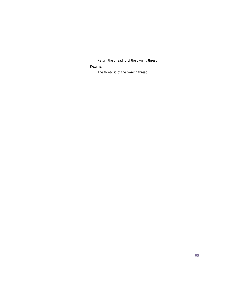Return the thread id of the owning thread.

Returns:

The thread id of the owning thread.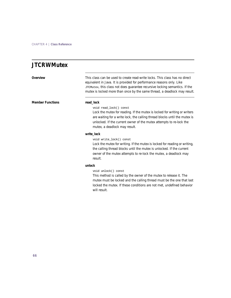### **JTCRWMutex**

### **Overview** This class can be used to create read-write locks. This class has no direct equivalent in Java. It is provided for performance reasons only. Like JTCMutex, this class not does guarantee recursive locking semantics. If the mutex is locked more than once by the same thread, a deadlock may result. **Member Functions read\_lock** void read\_lock() const Lock the mutex for reading. If the mutex is locked for writing or writers are waiting for a write lock, the calling thread blocks until the mutex is unlocked. If the current owner of the mutex attempts to re-lock the mutex, a deadlock may result. **write\_lock** void write\_lock() const Lock the mutex for writing. If the mutex is locked for reading or writing, the calling thread blocks until the mutex is unlocked. If the current owner of the mutex attempts to re-lock the mutex, a deadlock may result. **unlock** void unlock() const This method is called by the owner of the mutex to release it. The mutex must be locked and the calling thread must be the one that last locked the mutex. If these conditions are not met, undefined behavior will result.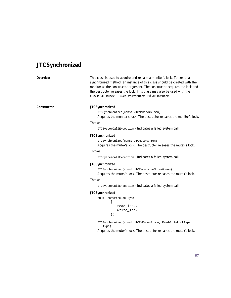## **JTCSynchronized**

| Overview    | This class is used to acquire and release a monitor's lock. To create a<br>synchronized method, an instance of this class should be created with the<br>monitor as the constructor argument. The constructor acquires the lock and<br>the destructor releases the lock. This class may also be used with the<br>classes JTCMutex, JTCRecursiveMutex and JTCRWMutex. |
|-------------|---------------------------------------------------------------------------------------------------------------------------------------------------------------------------------------------------------------------------------------------------------------------------------------------------------------------------------------------------------------------|
| Constructor | <b>JTCSynchronized</b><br>JTCSynchronized(const JTCMonitor& mon)<br>Acquires the monitor's lock. The destructor releases the monitor's lock.                                                                                                                                                                                                                        |
|             | Throws:                                                                                                                                                                                                                                                                                                                                                             |
|             | JTCSystemCallException - Indicates a failed system call.                                                                                                                                                                                                                                                                                                            |
|             | <b>JTCSynchronized</b>                                                                                                                                                                                                                                                                                                                                              |
|             | JTCSynchronized(const JTCMutex& mon)<br>Acquires the mutex's lock. The destructor releases the mutex's lock.                                                                                                                                                                                                                                                        |
|             | Throws:                                                                                                                                                                                                                                                                                                                                                             |
|             | JTCSystemCallException - Indicates a failed system call.                                                                                                                                                                                                                                                                                                            |
|             | <b>JTCSynchronized</b>                                                                                                                                                                                                                                                                                                                                              |
|             | JTCSynchronized(const JTCRecursiveMutex& mon)<br>Acquires the mutex's lock. The destructor releases the mutex's lock.                                                                                                                                                                                                                                               |
|             | Throws:                                                                                                                                                                                                                                                                                                                                                             |
|             | JTCSystemCallException - Indicates a failed system call.                                                                                                                                                                                                                                                                                                            |
|             | <b>JTCSynchronized</b>                                                                                                                                                                                                                                                                                                                                              |
|             | enum ReadWriteLockType<br>read_lock,<br>write_lock<br>$\}$ ;                                                                                                                                                                                                                                                                                                        |

JTCSynchronized(const JTCRWMutex& mon, ReadWriteLockType type)

Acquires the mutex's lock. The destructor releases the mutex's lock.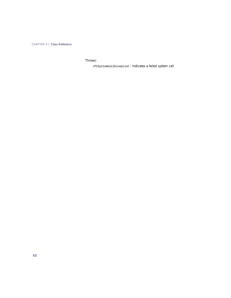Throws: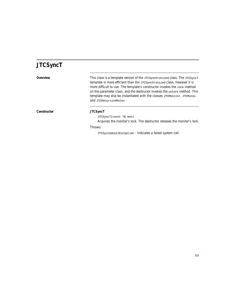### **JTCSyncT**

**Overview** This class is a template version of the *JTCSynchronized* class. The *JTCSyncT* template is more efficient than the JTCSynchronized class, however it is more difficult to use. The template's constructor invokes the lock method on the parameter class, and the destructor invokes the unlock method. This template may also be instantiated with the classes JTCMonitor, JTCMutex and JTCRecursiveMutex.

**Constructor JTCSyncT**

JTCSyncT(const T& mon)

Acquires the monitor's lock. The destructor releases the monitor's lock.

#### Throws: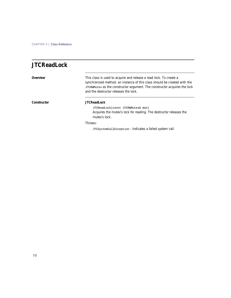**Overview** This class is used to acquire and release a read lock. To create a synchronized method, an instance of this class should be created with the JTCRWMutex as the constructor argument. The constructor acquires the lock and the destructor releases the lock.

#### **Constructor JTCReadLock**

JTCReadLock(const JTCRWMutex& mon) Acquires the mutex's lock for reading. The destructor releases the mutex's lock.

Throws: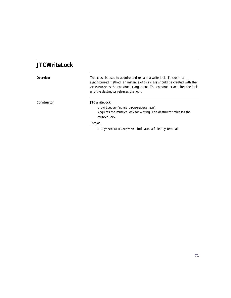### **JTCWriteLock**

| Overview    | This class is used to acquire and release a write lock. To create a<br>synchronized method, an instance of this class should be created with the<br>JTCRWMutex as the constructor argument. The constructor acquires the lock<br>and the destructor releases the lock. |
|-------------|------------------------------------------------------------------------------------------------------------------------------------------------------------------------------------------------------------------------------------------------------------------------|
| Constructor | <b>JTCWriteLock</b><br>JTCWriteLock(const JTCRWMutex& mon)<br>Acquires the mutex's lock for writing. The destructor releases the<br>mutex's lock.                                                                                                                      |
|             | Throws:                                                                                                                                                                                                                                                                |
|             | JTCSystemCallException - Indicates a failed system call.                                                                                                                                                                                                               |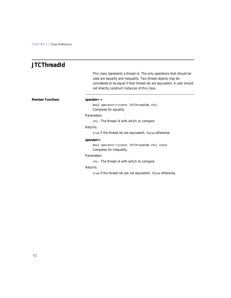### **JTCThreadId**

This class represents a thread id. The only operations that should be used are equality and inequality. Two thread objects may be considered to be equal if their thread ids are equivalent. A user should not directly construct instances of this class.

**Member Functions operator==**

bool operator==(const JTCThreadId& rhs) Compares for equality.

#### Parameters:

rhs - The thread id with which to compare.

#### Returns:

true if the thread ids are equivalent, false otherwise.

#### **operator!=**

bool operator!=(const JTCThreadId& rhs) const Compares for inequality.

#### Parameters:

rhs - The thread id with which to compare.

#### Returns:

true if the thread ids are not equivalent, false otherwise.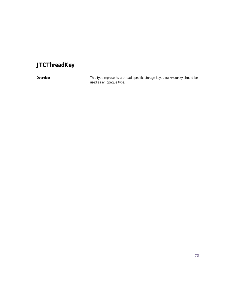## **JTCThreadKey**

**Overview** This type represents a thread specific storage key. JTCThreadKey should be used as an opaque type.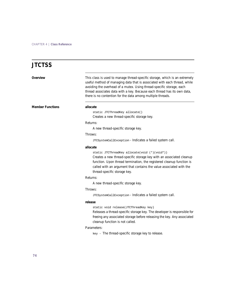### **JTCTSS Overview** This class is used to manage thread-specific storage, which is an extremely useful method of managing data that is associated with each thread, while avoiding the overhead of a mutex. Using thread-specific storage, each thread associates data with a key. Because each thread has its own data, there is no contention for the data among multiple threads. **Member Functions allocate** static JTCThreadKey allocate() Creates a new thread-specific storage key. Returns: A new thread-specific storage key. Throws: JTCSystemCallException - Indicates a failed system call. **allocate** static JTCThreadKey allocate(void (\*)(void\*)) Creates a new thread-specific storage key with an associated cleanup function. Upon thread termination, the registered cleanup function is called with an argument that contains the value associated with the thread-specific storage key. Returns: A new thread-specific storage key. Throws: JTCSystemCallException - Indicates a failed system call. **release** static void release(JTCThreadKey key) Releases a thread-specific storage key. The developer is responsible for freeing any associated storage before releasing the key. Any associated cleanup function is not called. Parameters: key - The thread-specific storage key to release.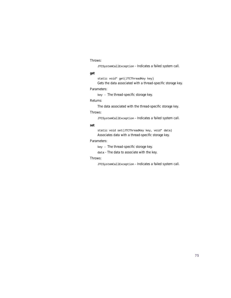Throws:

JTCSystemCallException - Indicates a failed system call.

#### **get**

static void\* get(JTCThreadKey key)

Gets the data associated with a thread-specific storage key.

### Parameters:

key - The thread-specific storage key.

### Returns:

The data associated with the thread-specific storage key.

### Throws:

JTCSystemCallException - Indicates a failed system call.

#### **set**

static void set(JTCThreadKey key, void\* data) Associates data with a thread-specific storage key.

### Parameters:

key - The thread-specific storage key.

data - The data to associate with the key.

#### Throws: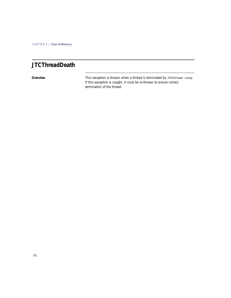### **JTCThreadDeath**

**Overview** This exception is thrown when a thread is terminated by JTCThread::stop. If this exception is caught, it must be re-thrown to ensure correct termination of the thread.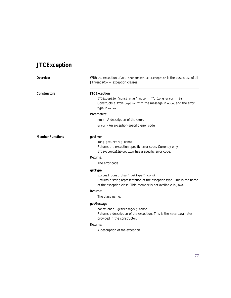## **JTCException**

| Overview                | With the exception of JTCThreadDeath, JTCException is the base class of all<br>JThreads/ $C++$ exception classes.                                                                                                                                                      |
|-------------------------|------------------------------------------------------------------------------------------------------------------------------------------------------------------------------------------------------------------------------------------------------------------------|
| <b>Constructors</b>     | <b>JTCException</b><br>JTCException(const char* note = "", long error = $0$ )<br>Constructs a JTCException with the message in note, and the error<br>type in error.<br>Parameters:<br>note - A description of the error.<br>error - An exception-specific error code. |
| <b>Member Functions</b> | getError<br>long getError() const<br>Returns the exception-specific error code. Currently only<br>JTCSystemCallException has a specific error code.                                                                                                                    |
|                         | Returns:                                                                                                                                                                                                                                                               |
|                         | The error code.                                                                                                                                                                                                                                                        |
|                         | getType                                                                                                                                                                                                                                                                |
|                         | virtual const char* getType() const<br>Returns a string representation of the exception type. This is the name<br>of the exception class. This member is not available in Java.                                                                                        |
|                         | Returns:                                                                                                                                                                                                                                                               |
|                         | The class name.                                                                                                                                                                                                                                                        |
|                         | getMessage<br>const char* getMessage() const<br>Returns a description of the exception. This is the note parameter<br>provided in the constructor.                                                                                                                     |
|                         | Returns:                                                                                                                                                                                                                                                               |
|                         | A description of the exception.                                                                                                                                                                                                                                        |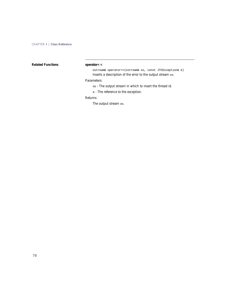### **Related Functions operator<<**

ostream& operator<<(ostream& os, const JTCException& e) Inserts a description of the error to the output stream os.

### Parameters:

- os The output stream in which to insert the thread id.
- e The reference to the exception.

### Returns:

The output stream os.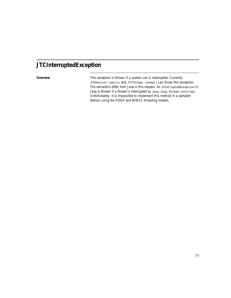## **JTCInterruptedException**

**Overview** This exception is thrown if a system call is interrupted. Currently JTCMonitor::wait() and JTCThread::sleep() can throw this exception. The semantics differ from Java in this respect. An InterruptedException in Java is thrown if a thread is interrupted by java.lang.Thread.interrupt. Unfortunately, it is impossible to implement this method in a portable fashion using the POSIX and WIN32 threading models.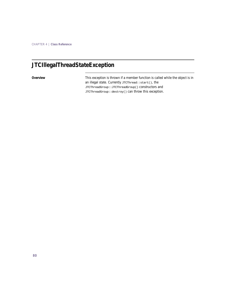## **JTCIllegalThreadStateException**

**Overview** This exception is thrown if a member function is called while the object is in an illegal state. Currently JTCThread::start(), the JTCThreadGroup::JTCThreadGroup() constructors and JTCThreadGroup::destroy() can throw this exception.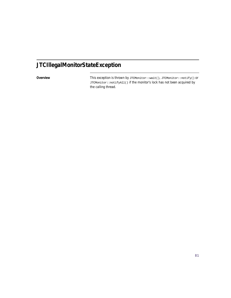## **JTCIllegalMonitorStateException**

**Overview** This exception is thrown by JTCMonitor::wait(), JTCMonitor::notify() or JTCMonitor::notifyAll() if the monitor's lock has not been acquired by the calling thread.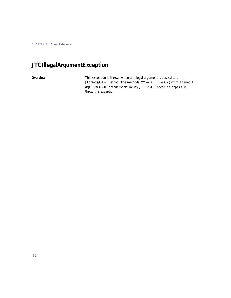## **JTCIllegalArgumentException**

**Overview** This exception is thrown when an illegal argument is passed to a JThreads/C++ method. The methods  $JTCMonitor::wait()$  (with a timeout argument), JTCThread::setPriority(), and JTCThread::sleep() can throw this exception.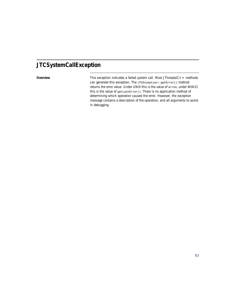## **JTCSystemCallException**

**Overview** This exception indicates a failed system call. Most JThreads/C++ methods can generate this exception. The JTCException::getError() method returns the error value. Under UNIX this is the value of errno, under WIN32 this is the value of getLastError(). There is no application method of determining which operation caused the error. However, the exception message contains a description of the operation, and all arguments to assist in debugging.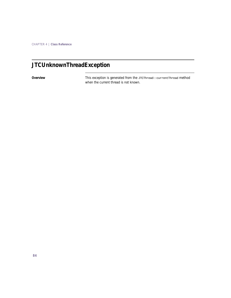## **JTCUnknownThreadException**

**Overview** This exception is generated from the JTCThread::currentThread method when the current thread is not known.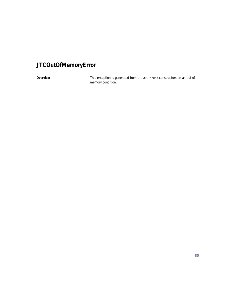## **JTCOutOfMemoryError**

**Overview** This exception is generated from the JTCThread constructors on an out of memory condition.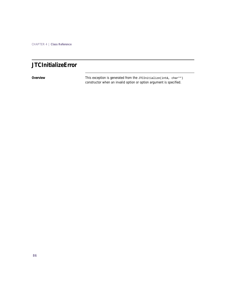### **JTCInitializeError**

**Overview** This exception is generated from the *JTCInitialize(int&, char\*\*)* constructor when an invalid option or option argument is specified.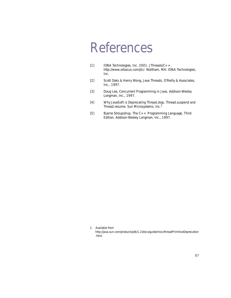# References

- [1] IONA Technologies, Inc. 2001. *JThreads/C++*. http://www.orbacus.com/jtc/. Waltham, MA: IONA Technologies, Inc.
- [2] Scott Oaks & Henry Wong, *Java Threads*, O'Reilly & Associates, Inc., 1997.
- [3] Doug Lea, *Concurrent Programming in Java*, Addison-Wesley Longman, Inc., 1997.
- [4] *Why JavaSoft is Deprecating Thread.stop, Thread.suspend and Thread.resume*, Sun Microsystems, Inc.<sup>1</sup>
- [5] Bjarne Stroupstrup, *The C++ Programming Language*, Third Edition, Addison-Wesley Longman, Inc., 1997.

1. Available from

http://java.sun.com/products/jdk/1.2/docs/guide/misc/threadPrimitiveDeprecation .html.